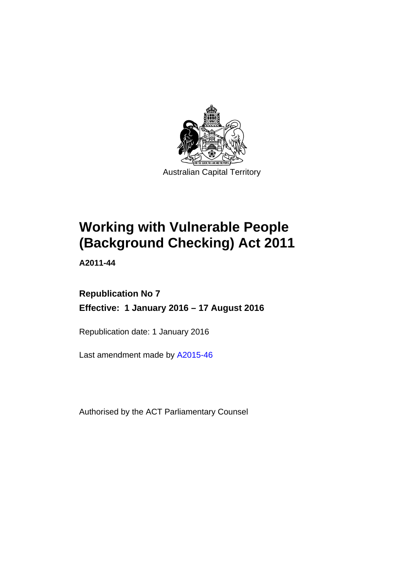

# **Working with Vulnerable People (Background Checking) Act 2011**

**A2011-44** 

# **Republication No 7 Effective: 1 January 2016 – 17 August 2016**

Republication date: 1 January 2016

Last amendment made by [A2015-46](http://www.legislation.act.gov.au/a/2015-46)

Authorised by the ACT Parliamentary Counsel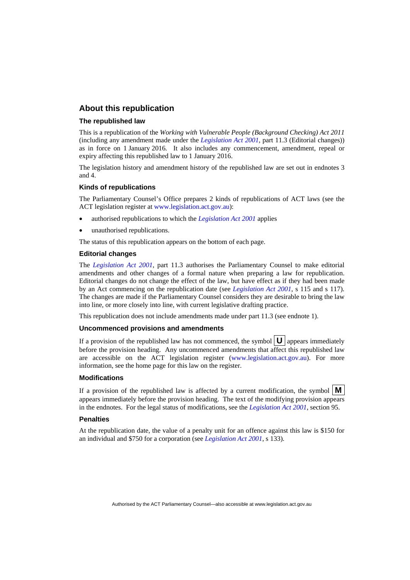### **About this republication**

#### **The republished law**

This is a republication of the *Working with Vulnerable People (Background Checking) Act 2011* (including any amendment made under the *[Legislation Act 2001](http://www.legislation.act.gov.au/a/2001-14)*, part 11.3 (Editorial changes)) as in force on 1 January 2016*.* It also includes any commencement, amendment, repeal or expiry affecting this republished law to 1 January 2016.

The legislation history and amendment history of the republished law are set out in endnotes 3 and 4.

#### **Kinds of republications**

The Parliamentary Counsel's Office prepares 2 kinds of republications of ACT laws (see the ACT legislation register at [www.legislation.act.gov.au](http://www.legislation.act.gov.au/)):

- authorised republications to which the *[Legislation Act 2001](http://www.legislation.act.gov.au/a/2001-14)* applies
- unauthorised republications.

The status of this republication appears on the bottom of each page.

#### **Editorial changes**

The *[Legislation Act 2001](http://www.legislation.act.gov.au/a/2001-14)*, part 11.3 authorises the Parliamentary Counsel to make editorial amendments and other changes of a formal nature when preparing a law for republication. Editorial changes do not change the effect of the law, but have effect as if they had been made by an Act commencing on the republication date (see *[Legislation Act 2001](http://www.legislation.act.gov.au/a/2001-14)*, s 115 and s 117). The changes are made if the Parliamentary Counsel considers they are desirable to bring the law into line, or more closely into line, with current legislative drafting practice.

This republication does not include amendments made under part 11.3 (see endnote 1).

#### **Uncommenced provisions and amendments**

If a provision of the republished law has not commenced, the symbol  $\mathbf{U}$  appears immediately before the provision heading. Any uncommenced amendments that affect this republished law are accessible on the ACT legislation register [\(www.legislation.act.gov.au\)](http://www.legislation.act.gov.au/). For more information, see the home page for this law on the register.

#### **Modifications**

If a provision of the republished law is affected by a current modification, the symbol  $\mathbf{M}$ appears immediately before the provision heading. The text of the modifying provision appears in the endnotes. For the legal status of modifications, see the *[Legislation Act 2001](http://www.legislation.act.gov.au/a/2001-14)*, section 95.

#### **Penalties**

At the republication date, the value of a penalty unit for an offence against this law is \$150 for an individual and \$750 for a corporation (see *[Legislation Act 2001](http://www.legislation.act.gov.au/a/2001-14)*, s 133).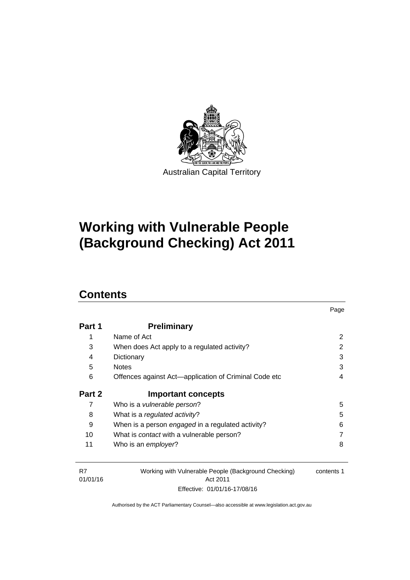

# **Working with Vulnerable People (Background Checking) Act 2011**

# **Contents**

| Part 1 | <b>Preliminary</b>                                    |   |
|--------|-------------------------------------------------------|---|
| 1      | Name of Act                                           | 2 |
| 3      | When does Act apply to a regulated activity?          | 2 |
| 4      | Dictionary                                            | 3 |
| 5      | <b>Notes</b>                                          | 3 |
| 6      | Offences against Act-application of Criminal Code etc | 4 |
|        |                                                       |   |
| Part 2 | <b>Important concepts</b>                             |   |
| 7      | Who is a <i>vulnerable person</i> ?                   | 5 |
| 8      | What is a regulated activity?                         | 5 |
| 9      | When is a person engaged in a regulated activity?     | 6 |
| 10     | What is <i>contact</i> with a vulnerable person?      |   |

Page

| R7       | Working with Vulnerable People (Background Checking) | contents 1 |
|----------|------------------------------------------------------|------------|
| 01/01/16 | Act 2011                                             |            |
|          | Effective: 01/01/16-17/08/16                         |            |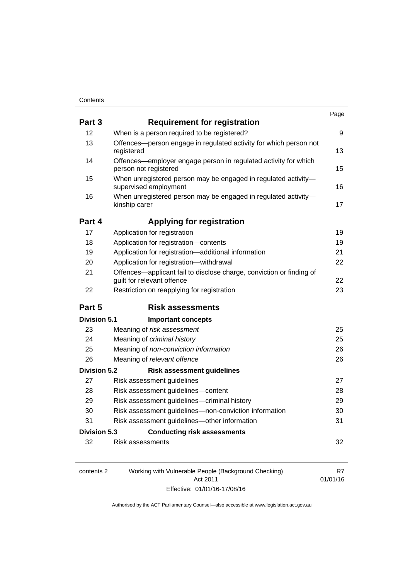| Part 3              | <b>Requirement for registration</b>                                                                |    |
|---------------------|----------------------------------------------------------------------------------------------------|----|
| 12                  | When is a person required to be registered?                                                        | 9  |
| 13                  | Offences-person engage in regulated activity for which person not<br>registered                    | 13 |
| 14                  | Offences—employer engage person in regulated activity for which<br>person not registered           | 15 |
| 15                  | When unregistered person may be engaged in regulated activity-<br>supervised employment            | 16 |
| 16                  | When unregistered person may be engaged in regulated activity-<br>kinship carer                    | 17 |
| Part 4              | <b>Applying for registration</b>                                                                   |    |
| 17                  | Application for registration                                                                       | 19 |
| 18                  | Application for registration-contents                                                              | 19 |
| 19                  | Application for registration-additional information                                                | 21 |
| 20                  | Application for registration-withdrawal                                                            | 22 |
| 21                  | Offences-applicant fail to disclose charge, conviction or finding of<br>guilt for relevant offence | 22 |
| 22                  | Restriction on reapplying for registration                                                         | 23 |
| Part 5              | <b>Risk assessments</b>                                                                            |    |
| Division 5.1        | <b>Important concepts</b>                                                                          |    |
| 23                  | Meaning of risk assessment                                                                         | 25 |
| 24                  | Meaning of criminal history                                                                        | 25 |
| 25                  | Meaning of non-conviction information                                                              | 26 |
| 26                  | Meaning of relevant offence                                                                        | 26 |
| <b>Division 5.2</b> | <b>Risk assessment guidelines</b>                                                                  |    |
| 27                  | Risk assessment guidelines                                                                         | 27 |
| 28                  | Risk assessment guidelines-content                                                                 | 28 |
| 29                  | Risk assessment guidelines-criminal history                                                        | 29 |
| 30                  | Risk assessment guidelines-non-conviction information                                              | 30 |
| 31                  | Risk assessment guidelines-other information                                                       | 31 |
| <b>Division 5.3</b> | <b>Conducting risk assessments</b>                                                                 |    |
| 32                  | Risk assessments                                                                                   | 32 |

| contents 2 | Working with Vulnerable People (Background Checking) |          |
|------------|------------------------------------------------------|----------|
|            | Act 2011                                             | 01/01/16 |
|            | Effective: 01/01/16-17/08/16                         |          |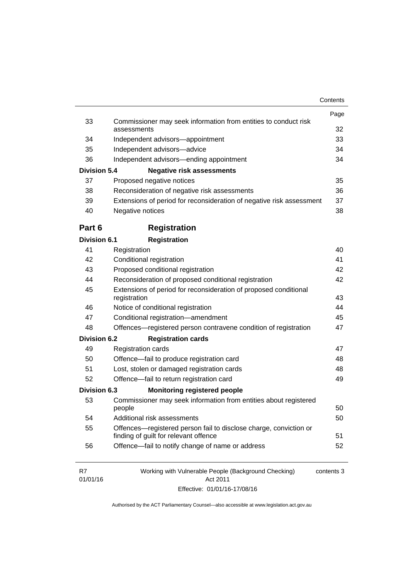|                     |                                                                                                            | Page       |
|---------------------|------------------------------------------------------------------------------------------------------------|------------|
| 33                  | Commissioner may seek information from entities to conduct risk<br>assessments                             | 32         |
| 34                  | Independent advisors-appointment                                                                           | 33         |
| 35                  | Independent advisors-advice                                                                                | 34         |
| 36                  | Independent advisors—ending appointment                                                                    | 34         |
| <b>Division 5.4</b> | <b>Negative risk assessments</b>                                                                           |            |
| 37                  | Proposed negative notices                                                                                  | 35         |
| 38                  | Reconsideration of negative risk assessments                                                               | 36         |
| 39                  | Extensions of period for reconsideration of negative risk assessment                                       | 37         |
| 40                  | Negative notices                                                                                           | 38         |
| Part 6              | <b>Registration</b>                                                                                        |            |
| <b>Division 6.1</b> | <b>Registration</b>                                                                                        |            |
| 41                  | Registration                                                                                               | 40         |
| 42                  | Conditional registration                                                                                   | 41         |
| 43                  | Proposed conditional registration                                                                          | 42         |
| 44                  | Reconsideration of proposed conditional registration                                                       | 42         |
| 45                  | Extensions of period for reconsideration of proposed conditional                                           |            |
|                     | registration                                                                                               | 43         |
| 46                  | Notice of conditional registration                                                                         | 44         |
| 47                  | Conditional registration-amendment                                                                         | 45         |
| 48                  | Offences-registered person contravene condition of registration                                            | 47         |
| <b>Division 6.2</b> | <b>Registration cards</b>                                                                                  |            |
| 49                  | <b>Registration cards</b>                                                                                  | 47         |
| 50                  | Offence-fail to produce registration card                                                                  | 48         |
| 51                  | Lost, stolen or damaged registration cards                                                                 | 48         |
| 52                  | Offence-fail to return registration card                                                                   | 49         |
| <b>Division 6.3</b> | <b>Monitoring registered people</b>                                                                        |            |
| 53                  | Commissioner may seek information from entities about registered<br>people                                 | 50         |
| 54                  | Additional risk assessments                                                                                | 50         |
| 55                  | Offences—registered person fail to disclose charge, conviction or<br>finding of guilt for relevant offence | 51         |
| 56                  | Offence-fail to notify change of name or address                                                           | 52         |
| R7<br>01/01/16      | Working with Vulnerable People (Background Checking)<br>Act 2011                                           | contents 3 |

Effective: 01/01/16-17/08/16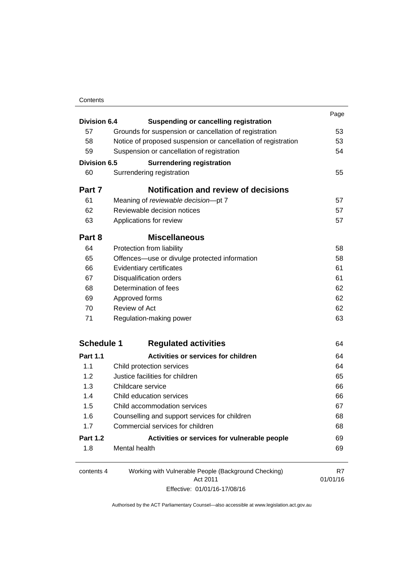### **Contents**

| Division 6.4      |                                                               | Page     |
|-------------------|---------------------------------------------------------------|----------|
|                   | <b>Suspending or cancelling registration</b>                  |          |
| 57                | Grounds for suspension or cancellation of registration        | 53       |
| 58                | Notice of proposed suspension or cancellation of registration | 53       |
| 59                | Suspension or cancellation of registration                    | 54       |
| Division 6.5      | <b>Surrendering registration</b>                              |          |
| 60                | Surrendering registration                                     | 55       |
| Part 7            | <b>Notification and review of decisions</b>                   |          |
| 61                | Meaning of reviewable decision-pt 7                           | 57       |
| 62                | Reviewable decision notices                                   | 57       |
| 63                | Applications for review                                       | 57       |
| Part 8            | <b>Miscellaneous</b>                                          |          |
| 64                | Protection from liability                                     | 58       |
| 65                | Offences—use or divulge protected information                 | 58       |
| 66                | Evidentiary certificates                                      | 61       |
| 67                | <b>Disqualification orders</b>                                | 61       |
| 68                | Determination of fees                                         | 62       |
| 69                | Approved forms                                                | 62       |
| 70                | <b>Review of Act</b>                                          | 62       |
| 71                | Regulation-making power                                       | 63       |
| <b>Schedule 1</b> | <b>Regulated activities</b>                                   | 64       |
| <b>Part 1.1</b>   | <b>Activities or services for children</b>                    | 64       |
| 1.1               | Child protection services                                     | 64       |
| 1.2               | Justice facilities for children                               | 65       |
| 1.3               | Childcare service                                             | 66       |
| 1.4               | Child education services                                      | 66       |
| 1.5               | Child accommodation services                                  | 67       |
| 1.6               | Counselling and support services for children                 | 68       |
| 1.7               | Commercial services for children                              | 68       |
| <b>Part 1.2</b>   | Activities or services for vulnerable people                  | 69       |
| 1.8               | Mental health                                                 | 69       |
| contents 4        | Working with Vulnerable People (Background Checking)          | R7       |
|                   | Act 2011                                                      | 01/01/16 |

Effective: 01/01/16-17/08/16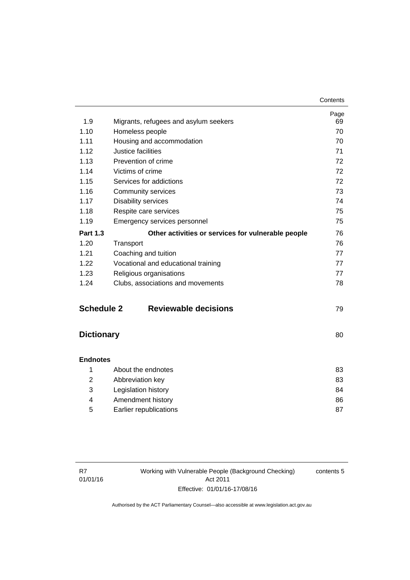| 1.9               | Migrants, refugees and asylum seekers              | Page<br>69 |
|-------------------|----------------------------------------------------|------------|
| 1.10              | Homeless people                                    | 70         |
| 1.11              | Housing and accommodation                          | 70         |
| 1.12              | Justice facilities                                 | 71         |
| 1.13              | Prevention of crime                                | 72         |
| 1.14              | Victims of crime                                   | 72         |
| 1.15              | Services for addictions                            | 72         |
| 1.16              | Community services                                 | 73         |
| 1.17              | <b>Disability services</b>                         | 74         |
| 1.18              | Respite care services                              | 75         |
| 1.19              | Emergency services personnel                       | 75         |
| <b>Part 1.3</b>   | Other activities or services for vulnerable people | 76         |
| 1.20              | Transport                                          | 76         |
| 1.21              | Coaching and tuition                               | 77         |
| 1.22              | Vocational and educational training                | 77         |
| 1.23              | Religious organisations                            | 77         |
| 1.24              | Clubs, associations and movements                  | 78         |
| <b>Schedule 2</b> | <b>Reviewable decisions</b>                        | 79         |
| <b>Dictionary</b> |                                                    | 80         |
| <b>Endnotes</b>   |                                                    |            |
| 1                 | About the endnotes                                 | 83         |
| 2                 | Abbreviation key                                   | 83         |
| 3                 | Legislation history                                | 84         |

|   | Legislation history    | 84 |
|---|------------------------|----|
|   | Amendment history      | 86 |
| 5 | Earlier republications |    |

Working with Vulnerable People (Background Checking) Act 2011 Effective: 01/01/16-17/08/16

contents 5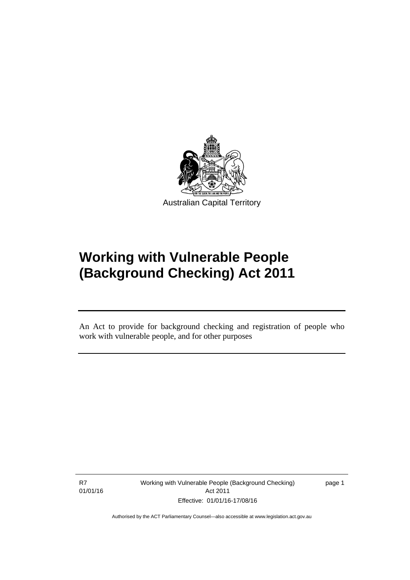

# **Working with Vulnerable People (Background Checking) Act 2011**

An Act to provide for background checking and registration of people who work with vulnerable people, and for other purposes

R7 01/01/16

l

Working with Vulnerable People (Background Checking) Act 2011 Effective: 01/01/16-17/08/16

page 1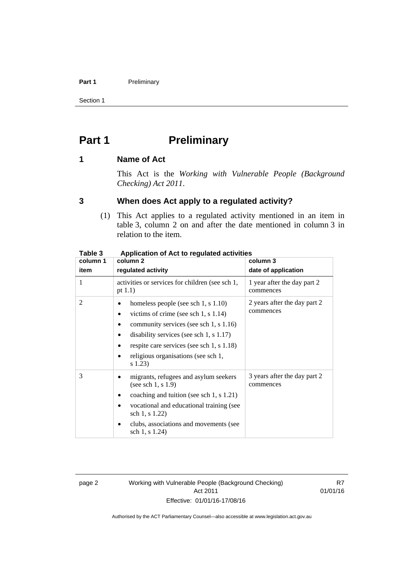#### Part 1 **Preliminary**

Section 1

# <span id="page-9-0"></span>**Part 1** Preliminary

### <span id="page-9-1"></span>**1 Name of Act**

This Act is the *Working with Vulnerable People (Background Checking) Act 2011*.

### <span id="page-9-2"></span>**3 When does Act apply to a regulated activity?**

(1) This Act applies to a regulated activity mentioned in an item in table 3, column 2 on and after the date mentioned in column 3 in relation to the item.

| rapie s  | Application of Act to regulated activities                                                                                                                                                                                                                           |                                           |  |
|----------|----------------------------------------------------------------------------------------------------------------------------------------------------------------------------------------------------------------------------------------------------------------------|-------------------------------------------|--|
| column 1 | column 2                                                                                                                                                                                                                                                             | column 3                                  |  |
| item     | regulated activity                                                                                                                                                                                                                                                   | date of application                       |  |
| 1        | activities or services for children (see sch 1,<br>pt $1.1$ )                                                                                                                                                                                                        | 1 year after the day part 2<br>commences  |  |
| 2        | homeless people (see sch 1, s 1.10)<br>victims of crime (see sch 1, s $1.14$ )<br>community services (see sch 1, s 1.16)<br>disability services (see sch 1, $s$ 1.17)<br>respite care services (see sch 1, s 1.18)<br>religious organisations (see sch 1,<br>s 1.23) | 2 years after the day part 2<br>commences |  |
| 3        | migrants, refugees and asylum seekers<br>(see sch 1, $s$ 1.9)<br>coaching and tuition (see sch 1, s 1.21)<br>vocational and educational training (see<br>sch 1, s 1.22)<br>clubs, associations and movements (see<br>sch 1, s 1.24)                                  | 3 years after the day part 2<br>commences |  |

### **Table 3 Application of Act to regulated activities**

page 2 Working with Vulnerable People (Background Checking) Act 2011 Effective: 01/01/16-17/08/16

R7 01/01/16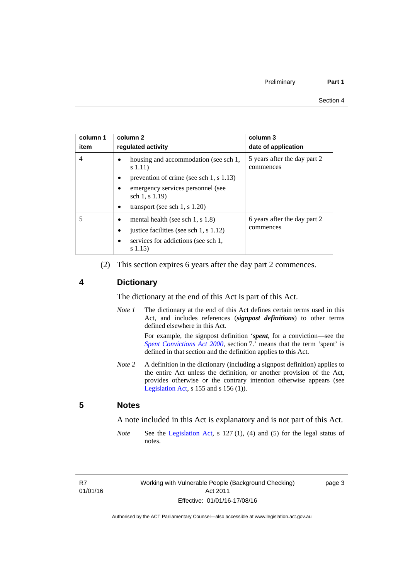| column 1<br>item | column 2<br>requlated activity                              | column 3<br>date of application           |
|------------------|-------------------------------------------------------------|-------------------------------------------|
| 4                | housing and accommodation (see sch 1,<br>s(1.11)            | 5 years after the day part 2<br>commences |
|                  | prevention of crime (see sch 1, $\sin 1.13$ )               |                                           |
|                  | emergency services personnel (see<br>sch 1, s 1.19)         |                                           |
|                  | transport (see sch $1, s$ 1.20)<br>٠                        |                                           |
|                  | mental health (see sch 1, s 1.8)                            | 6 years after the day part 2<br>commences |
|                  | justice facilities (see sch 1, s 1.12)<br>٠                 |                                           |
|                  | services for addictions (see sch 1,<br>$\bullet$<br>s(1.15) |                                           |

(2) This section expires 6 years after the day part 2 commences.

### <span id="page-10-0"></span>**4 Dictionary**

The dictionary at the end of this Act is part of this Act.

*Note 1* The dictionary at the end of this Act defines certain terms used in this Act, and includes references (*signpost definitions*) to other terms defined elsewhere in this Act.

> For example, the signpost definition '*spent*, for a conviction—see the *[Spent Convictions Act 2000](http://www.legislation.act.gov.au/a/2000-48)*, section 7.' means that the term 'spent' is defined in that section and the definition applies to this Act.

*Note 2* A definition in the dictionary (including a signpost definition) applies to the entire Act unless the definition, or another provision of the Act, provides otherwise or the contrary intention otherwise appears (see [Legislation Act,](http://www.legislation.act.gov.au/a/2001-14)  $s$  155 and  $s$  156 (1)).

### <span id="page-10-1"></span>**5 Notes**

A note included in this Act is explanatory and is not part of this Act.

*Note* See the [Legislation Act,](http://www.legislation.act.gov.au/a/2001-14) s 127 (1), (4) and (5) for the legal status of notes.

R7 01/01/16 page 3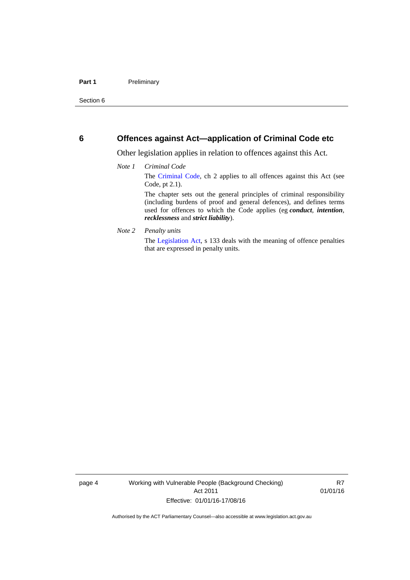### <span id="page-11-0"></span>**6 Offences against Act—application of Criminal Code etc**

Other legislation applies in relation to offences against this Act.

#### *Note 1 Criminal Code*

The [Criminal Code](http://www.legislation.act.gov.au/a/2002-51/default.asp), ch 2 applies to all offences against this Act (see Code, pt 2.1).

The chapter sets out the general principles of criminal responsibility (including burdens of proof and general defences), and defines terms used for offences to which the Code applies (eg *conduct*, *intention*, *recklessness* and *strict liability*).

#### *Note 2 Penalty units*

The [Legislation Act](http://www.legislation.act.gov.au/a/2001-14), s 133 deals with the meaning of offence penalties that are expressed in penalty units.

page 4 Working with Vulnerable People (Background Checking) Act 2011 Effective: 01/01/16-17/08/16

R7 01/01/16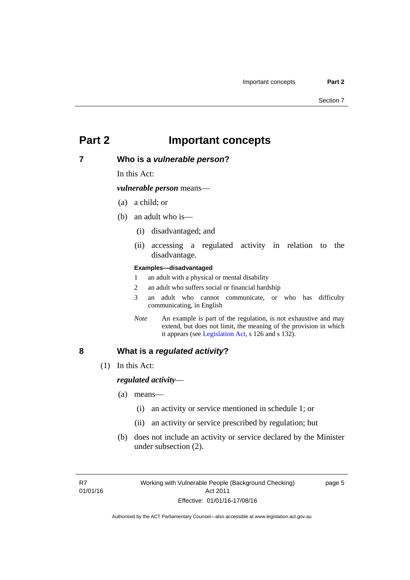## <span id="page-12-0"></span>**Part 2 Important concepts**

### <span id="page-12-1"></span>**7 Who is a** *vulnerable person***?**

In this Act:

*vulnerable person* means—

- (a) a child; or
- (b) an adult who is—
	- (i) disadvantaged; and
	- (ii) accessing a regulated activity in relation to the disadvantage.

#### **Examples—disadvantaged**

- 1 an adult with a physical or mental disability
- 2 an adult who suffers social or financial hardship
- 3 an adult who cannot communicate, or who has difficulty communicating, in English
- *Note* An example is part of the regulation, is not exhaustive and may extend, but does not limit, the meaning of the provision in which it appears (see [Legislation Act,](http://www.legislation.act.gov.au/a/2001-14) s 126 and s 132).

### <span id="page-12-2"></span>**8 What is a** *regulated activity***?**

(1) In this Act:

### *regulated activity*—

- (a) means—
	- (i) an activity or service mentioned in schedule 1; or
	- (ii) an activity or service prescribed by regulation; but
- (b) does not include an activity or service declared by the Minister under subsection (2).

page 5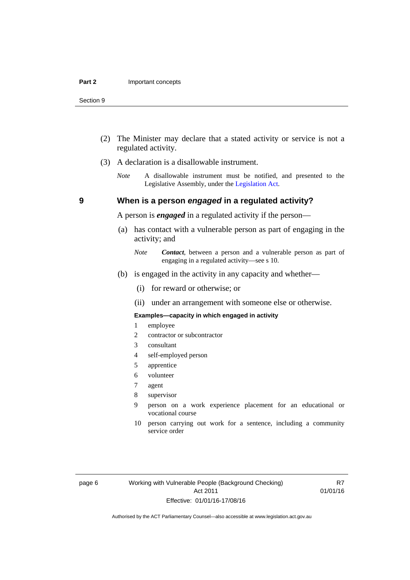- (2) The Minister may declare that a stated activity or service is not a regulated activity.
- (3) A declaration is a disallowable instrument.
	- *Note* A disallowable instrument must be notified, and presented to the Legislative Assembly, under the [Legislation Act.](http://www.legislation.act.gov.au/a/2001-14)

### **9 When is a person** *engaged* **in a regulated activity?**

A person is *engaged* in a regulated activity if the person—

- (a) has contact with a vulnerable person as part of engaging in the activity; and
	- *Note Contact*, between a person and a vulnerable person as part of engaging in a regulated activity—see s 10.
- (b) is engaged in the activity in any capacity and whether—
	- (i) for reward or otherwise; or
	- (ii) under an arrangement with someone else or otherwise.

#### **Examples—capacity in which engaged in activity**

- 1 employee
- 2 contractor or subcontractor
- 3 consultant
- 4 self-employed person
- 5 apprentice
- 6 volunteer
- 7 agent
- 8 supervisor
- 9 person on a work experience placement for an educational or vocational course
- 10 person carrying out work for a sentence, including a community service order

page 6 Working with Vulnerable People (Background Checking) Act 2011 Effective: 01/01/16-17/08/16

R7 01/01/16

<span id="page-13-0"></span>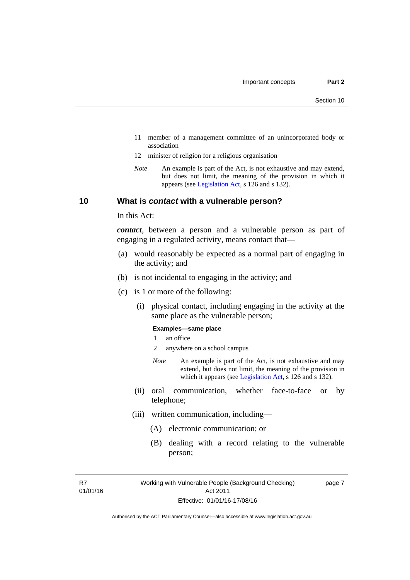- 11 member of a management committee of an unincorporated body or association
- 12 minister of religion for a religious organisation
- *Note* An example is part of the Act, is not exhaustive and may extend, but does not limit, the meaning of the provision in which it appears (see [Legislation Act,](http://www.legislation.act.gov.au/a/2001-14) s 126 and s 132).

### <span id="page-14-0"></span>**10 What is** *contact* **with a vulnerable person?**

In this Act:

*contact*, between a person and a vulnerable person as part of engaging in a regulated activity, means contact that—

- (a) would reasonably be expected as a normal part of engaging in the activity; and
- (b) is not incidental to engaging in the activity; and
- (c) is 1 or more of the following:
	- (i) physical contact, including engaging in the activity at the same place as the vulnerable person;

#### **Examples—same place**

- 1 an office
- 2 anywhere on a school campus
- *Note* An example is part of the Act, is not exhaustive and may extend, but does not limit, the meaning of the provision in which it appears (see [Legislation Act,](http://www.legislation.act.gov.au/a/2001-14) s 126 and s 132).
- (ii) oral communication, whether face-to-face or by telephone;
- (iii) written communication, including—
	- (A) electronic communication; or
	- (B) dealing with a record relating to the vulnerable person;

R7 01/01/16 page 7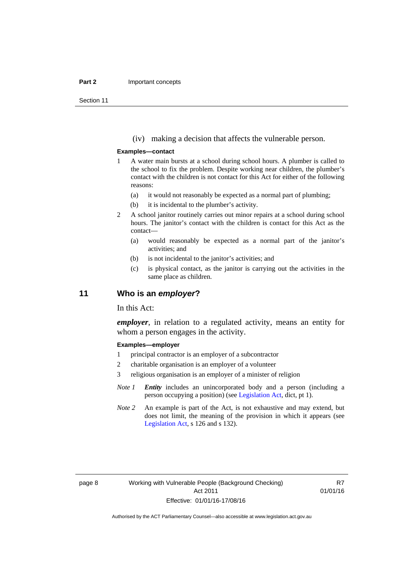#### **Part 2 Important concepts**

Section 11

(iv) making a decision that affects the vulnerable person.

#### **Examples—contact**

- 1 A water main bursts at a school during school hours. A plumber is called to the school to fix the problem. Despite working near children, the plumber's contact with the children is not contact for this Act for either of the following reasons:
	- (a) it would not reasonably be expected as a normal part of plumbing;
	- (b) it is incidental to the plumber's activity.
- 2 A school janitor routinely carries out minor repairs at a school during school hours. The janitor's contact with the children is contact for this Act as the contact—
	- (a) would reasonably be expected as a normal part of the janitor's activities; and
	- (b) is not incidental to the janitor's activities; and
	- (c) is physical contact, as the janitor is carrying out the activities in the same place as children.

### <span id="page-15-0"></span>**11 Who is an** *employer***?**

In this Act:

*employer*, in relation to a regulated activity, means an entity for whom a person engages in the activity.

#### **Examples—employer**

- 1 principal contractor is an employer of a subcontractor
- 2 charitable organisation is an employer of a volunteer
- 3 religious organisation is an employer of a minister of religion
- *Note 1 Entity* includes an unincorporated body and a person (including a person occupying a position) (see [Legislation Act,](http://www.legislation.act.gov.au/a/2001-14) dict, pt 1).
- *Note* 2 An example is part of the Act, is not exhaustive and may extend, but does not limit, the meaning of the provision in which it appears (see [Legislation Act,](http://www.legislation.act.gov.au/a/2001-14) s 126 and s 132).

R7 01/01/16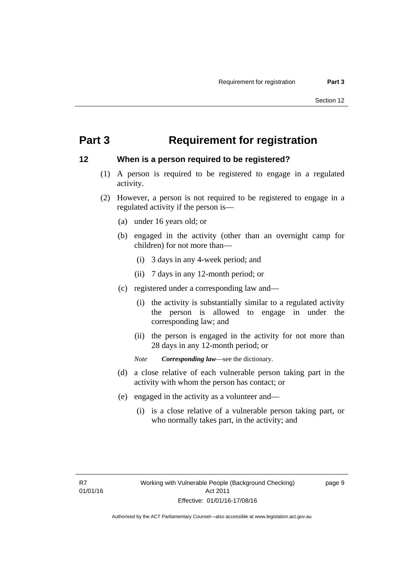## <span id="page-16-0"></span>**Part 3 Requirement for registration**

### <span id="page-16-1"></span>**12 When is a person required to be registered?**

- (1) A person is required to be registered to engage in a regulated activity.
- (2) However, a person is not required to be registered to engage in a regulated activity if the person is—
	- (a) under 16 years old; or
	- (b) engaged in the activity (other than an overnight camp for children) for not more than—
		- (i) 3 days in any 4-week period; and
		- (ii) 7 days in any 12-month period; or
	- (c) registered under a corresponding law and—
		- (i) the activity is substantially similar to a regulated activity the person is allowed to engage in under the corresponding law; and
		- (ii) the person is engaged in the activity for not more than 28 days in any 12-month period; or
		- *Note Corresponding law*—see the dictionary.
	- (d) a close relative of each vulnerable person taking part in the activity with whom the person has contact; or
	- (e) engaged in the activity as a volunteer and—
		- (i) is a close relative of a vulnerable person taking part, or who normally takes part, in the activity; and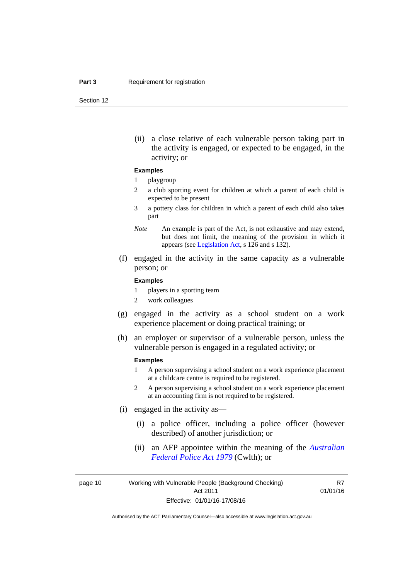Section 12

(ii) a close relative of each vulnerable person taking part in the activity is engaged, or expected to be engaged, in the activity; or

#### **Examples**

#### 1 playgroup

- 2 a club sporting event for children at which a parent of each child is expected to be present
- 3 a pottery class for children in which a parent of each child also takes part
- *Note* An example is part of the Act, is not exhaustive and may extend, but does not limit, the meaning of the provision in which it appears (see [Legislation Act,](http://www.legislation.act.gov.au/a/2001-14) s 126 and s 132).
- (f) engaged in the activity in the same capacity as a vulnerable person; or

#### **Examples**

- 1 players in a sporting team
- 2 work colleagues
- (g) engaged in the activity as a school student on a work experience placement or doing practical training; or
- (h) an employer or supervisor of a vulnerable person, unless the vulnerable person is engaged in a regulated activity; or

#### **Examples**

- 1 A person supervising a school student on a work experience placement at a childcare centre is required to be registered.
- 2 A person supervising a school student on a work experience placement at an accounting firm is not required to be registered.
- (i) engaged in the activity as—
	- (i) a police officer, including a police officer (however described) of another jurisdiction; or
	- (ii) an AFP appointee within the meaning of the *[Australian](http://www.comlaw.gov.au/Series/C2004A02068)  [Federal Police Act 1979](http://www.comlaw.gov.au/Series/C2004A02068)* (Cwlth); or

page 10 Working with Vulnerable People (Background Checking) Act 2011 Effective: 01/01/16-17/08/16

R7 01/01/16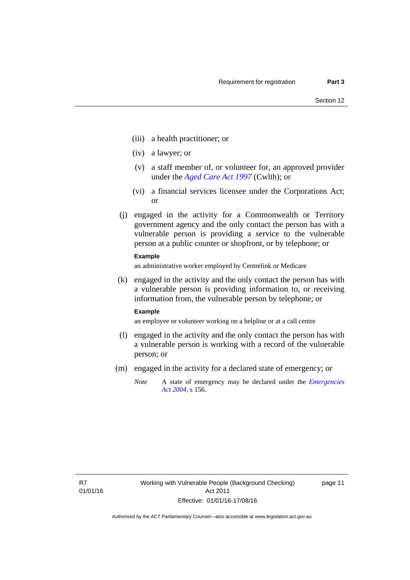- (iii) a health practitioner; or
- (iv) a lawyer; or
- (v) a staff member of, or volunteer for, an approved provider under the *[Aged Care Act 1997](http://www.comlaw.gov.au/Series/C2004A05206)* (Cwlth); or
- (vi) a financial services licensee under the Corporations Act; or
- (j) engaged in the activity for a Commonwealth or Territory government agency and the only contact the person has with a vulnerable person is providing a service to the vulnerable person at a public counter or shopfront, or by telephone; or

#### **Example**

an administrative worker employed by Centrelink or Medicare

 (k) engaged in the activity and the only contact the person has with a vulnerable person is providing information to, or receiving information from, the vulnerable person by telephone; or

#### **Example**

an employee or volunteer working on a helpline or at a call centre

- (l) engaged in the activity and the only contact the person has with a vulnerable person is working with a record of the vulnerable person; or
- (m) engaged in the activity for a declared state of emergency; or
	- *Note* A state of emergency may be declared under the *[Emergencies](http://www.legislation.act.gov.au/a/2004-28)  [Act 2004](http://www.legislation.act.gov.au/a/2004-28)*, s 156.

page 11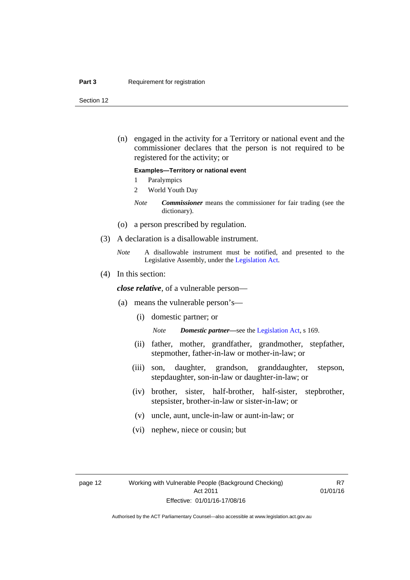#### **Part 3 Requirement for registration**

Section 12

 (n) engaged in the activity for a Territory or national event and the commissioner declares that the person is not required to be registered for the activity; or

#### **Examples—Territory or national event**

- 1 Paralympics
- 2 World Youth Day
- *Note Commissioner* means the commissioner for fair trading (see the dictionary).
- (o) a person prescribed by regulation.
- (3) A declaration is a disallowable instrument.
	- *Note* A disallowable instrument must be notified, and presented to the Legislative Assembly, under the [Legislation Act.](http://www.legislation.act.gov.au/a/2001-14)
- (4) In this section:

*close relative*, of a vulnerable person—

- (a) means the vulnerable person's—
	- (i) domestic partner; or

*Note Domestic partner—*see the [Legislation Act](http://www.legislation.act.gov.au/a/2001-14), s 169.

- (ii) father, mother, grandfather, grandmother, stepfather, stepmother, father-in-law or mother-in-law; or
- (iii) son, daughter, grandson, granddaughter, stepson, stepdaughter, son-in-law or daughter-in-law; or
- (iv) brother, sister, half-brother, half-sister, stepbrother, stepsister, brother-in-law or sister-in-law; or
- (v) uncle, aunt, uncle-in-law or aunt-in-law; or
- (vi) nephew, niece or cousin; but

R7 01/01/16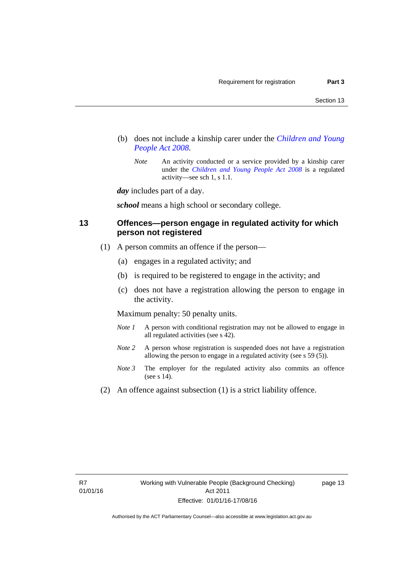- (b) does not include a kinship carer under the *[Children and Young](http://www.legislation.act.gov.au/a/2008-19)  [People Act 2008](http://www.legislation.act.gov.au/a/2008-19)*.
	- *Note* An activity conducted or a service provided by a kinship carer under the *[Children and Young People Act 2008](http://www.legislation.act.gov.au/a/2008-19)* is a regulated activity—see sch 1, s 1.1.

*day* includes part of a day.

*school* means a high school or secondary college.

### <span id="page-20-0"></span>**13 Offences—person engage in regulated activity for which person not registered**

- (1) A person commits an offence if the person—
	- (a) engages in a regulated activity; and
	- (b) is required to be registered to engage in the activity; and
	- (c) does not have a registration allowing the person to engage in the activity.

Maximum penalty: 50 penalty units.

- *Note 1* A person with conditional registration may not be allowed to engage in all regulated activities (see s 42).
- *Note* 2 A person whose registration is suspended does not have a registration allowing the person to engage in a regulated activity (see s 59 (5)).
- *Note 3* The employer for the regulated activity also commits an offence (see s 14).
- (2) An offence against subsection (1) is a strict liability offence.

page 13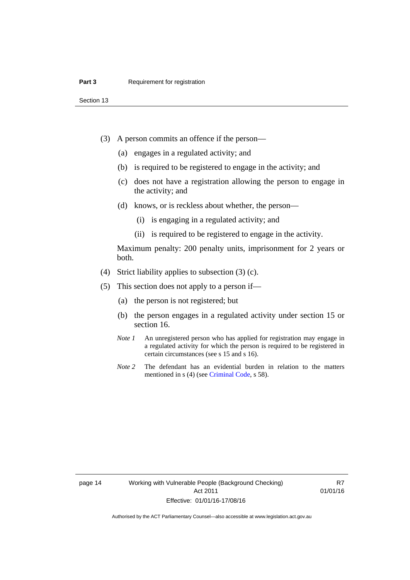Section 13

- (3) A person commits an offence if the person—
	- (a) engages in a regulated activity; and
	- (b) is required to be registered to engage in the activity; and
	- (c) does not have a registration allowing the person to engage in the activity; and
	- (d) knows, or is reckless about whether, the person—
		- (i) is engaging in a regulated activity; and
		- (ii) is required to be registered to engage in the activity.

Maximum penalty: 200 penalty units, imprisonment for 2 years or both.

- (4) Strict liability applies to subsection (3) (c).
- (5) This section does not apply to a person if—
	- (a) the person is not registered; but
	- (b) the person engages in a regulated activity under section 15 or section 16.
	- *Note 1* An unregistered person who has applied for registration may engage in a regulated activity for which the person is required to be registered in certain circumstances (see s 15 and s 16).
	- *Note* 2 The defendant has an evidential burden in relation to the matters mentioned in s (4) (see [Criminal Code](http://www.legislation.act.gov.au/a/2002-51/default.asp), s 58).

page 14 Working with Vulnerable People (Background Checking) Act 2011 Effective: 01/01/16-17/08/16

R7 01/01/16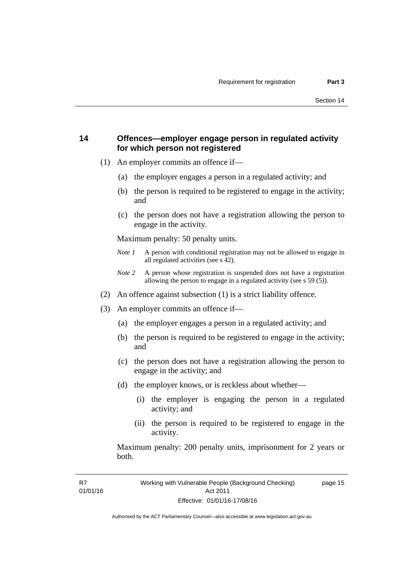### <span id="page-22-0"></span>**14 Offences—employer engage person in regulated activity for which person not registered**

- (1) An employer commits an offence if—
	- (a) the employer engages a person in a regulated activity; and
	- (b) the person is required to be registered to engage in the activity; and
	- (c) the person does not have a registration allowing the person to engage in the activity.

Maximum penalty: 50 penalty units.

- *Note 1* A person with conditional registration may not be allowed to engage in all regulated activities (see s 42).
- *Note 2* A person whose registration is suspended does not have a registration allowing the person to engage in a regulated activity (see s 59 (5)).
- (2) An offence against subsection (1) is a strict liability offence.
- (3) An employer commits an offence if—
	- (a) the employer engages a person in a regulated activity; and
	- (b) the person is required to be registered to engage in the activity; and
	- (c) the person does not have a registration allowing the person to engage in the activity; and
	- (d) the employer knows, or is reckless about whether—
		- (i) the employer is engaging the person in a regulated activity; and
		- (ii) the person is required to be registered to engage in the activity.

Maximum penalty: 200 penalty units, imprisonment for 2 years or both.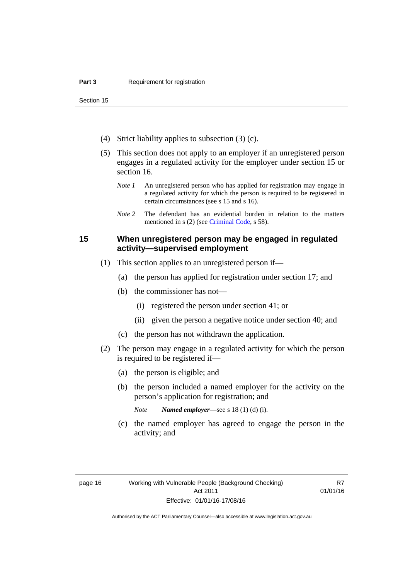Section 15

- (4) Strict liability applies to subsection (3) (c).
- (5) This section does not apply to an employer if an unregistered person engages in a regulated activity for the employer under section 15 or section 16.
	- *Note 1* An unregistered person who has applied for registration may engage in a regulated activity for which the person is required to be registered in certain circumstances (see s 15 and s 16).
	- *Note* 2 The defendant has an evidential burden in relation to the matters mentioned in s (2) (see [Criminal Code](http://www.legislation.act.gov.au/a/2002-51/default.asp), s 58).

### <span id="page-23-0"></span>**15 When unregistered person may be engaged in regulated activity—supervised employment**

- (1) This section applies to an unregistered person if—
	- (a) the person has applied for registration under section 17; and
	- (b) the commissioner has not—
		- (i) registered the person under section 41; or
		- (ii) given the person a negative notice under section 40; and
	- (c) the person has not withdrawn the application.
- (2) The person may engage in a regulated activity for which the person is required to be registered if—
	- (a) the person is eligible; and
	- (b) the person included a named employer for the activity on the person's application for registration; and
		- *Note Named employer*—see s 18 (1) (d) (i).
	- (c) the named employer has agreed to engage the person in the activity; and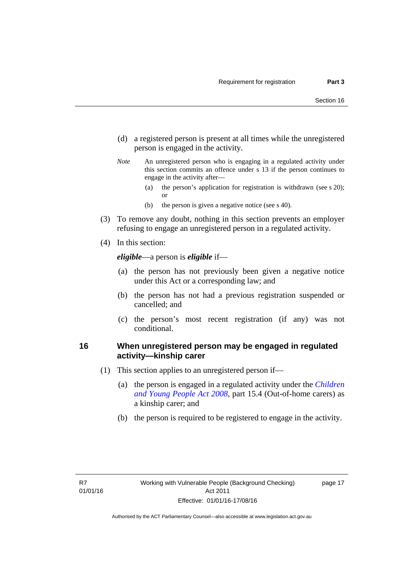- (d) a registered person is present at all times while the unregistered person is engaged in the activity.
- *Note* An unregistered person who is engaging in a regulated activity under this section commits an offence under s 13 if the person continues to engage in the activity after—
	- (a) the person's application for registration is withdrawn (see s 20); or
	- (b) the person is given a negative notice (see s 40).
- (3) To remove any doubt, nothing in this section prevents an employer refusing to engage an unregistered person in a regulated activity.
- (4) In this section:

*eligible*—a person is *eligible* if—

- (a) the person has not previously been given a negative notice under this Act or a corresponding law; and
- (b) the person has not had a previous registration suspended or cancelled; and
- (c) the person's most recent registration (if any) was not conditional.

### <span id="page-24-0"></span>**16 When unregistered person may be engaged in regulated activity—kinship carer**

- (1) This section applies to an unregistered person if—
	- (a) the person is engaged in a regulated activity under the *[Children](http://www.legislation.act.gov.au/a/2008-19)  [and Young People Act 2008](http://www.legislation.act.gov.au/a/2008-19)*, part 15.4 (Out-of-home carers) as a kinship carer; and
	- (b) the person is required to be registered to engage in the activity.

page 17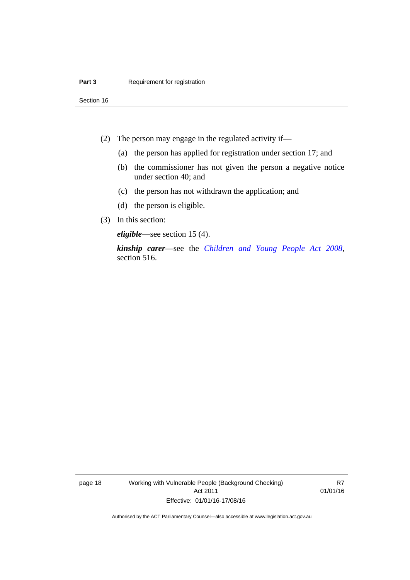Section 16

- (2) The person may engage in the regulated activity if—
	- (a) the person has applied for registration under section 17; and
	- (b) the commissioner has not given the person a negative notice under section 40; and
	- (c) the person has not withdrawn the application; and
	- (d) the person is eligible.
- (3) In this section:

*eligible*—see section 15 (4).

*kinship carer*—see the *[Children and Young People Act 2008](http://www.legislation.act.gov.au/a/2008-19)*, section 516.

page 18 Working with Vulnerable People (Background Checking) Act 2011 Effective: 01/01/16-17/08/16

R7 01/01/16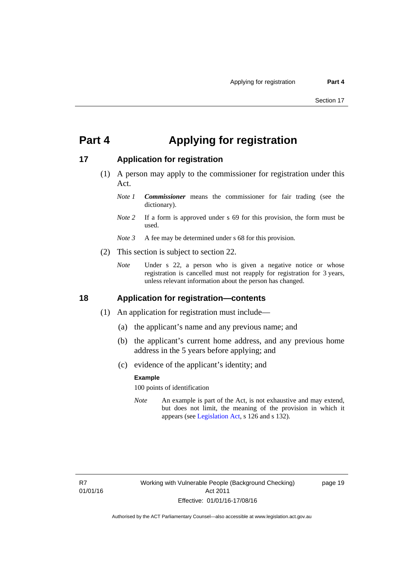## <span id="page-26-0"></span>**Part 4 Applying for registration**

### <span id="page-26-1"></span>**17 Application for registration**

- (1) A person may apply to the commissioner for registration under this Act.
	- *Note 1 Commissioner* means the commissioner for fair trading (see the dictionary).
	- *Note* 2 If a form is approved under s 69 for this provision, the form must be used.
	- *Note 3* A fee may be determined under s 68 for this provision.
- (2) This section is subject to section 22.
	- *Note* Under s 22, a person who is given a negative notice or whose registration is cancelled must not reapply for registration for 3 years, unless relevant information about the person has changed.

### <span id="page-26-2"></span>**18 Application for registration—contents**

- (1) An application for registration must include—
	- (a) the applicant's name and any previous name; and
	- (b) the applicant's current home address, and any previous home address in the 5 years before applying; and
	- (c) evidence of the applicant's identity; and

#### **Example**

100 points of identification

*Note* An example is part of the Act, is not exhaustive and may extend, but does not limit, the meaning of the provision in which it appears (see [Legislation Act,](http://www.legislation.act.gov.au/a/2001-14) s 126 and s 132).

page 19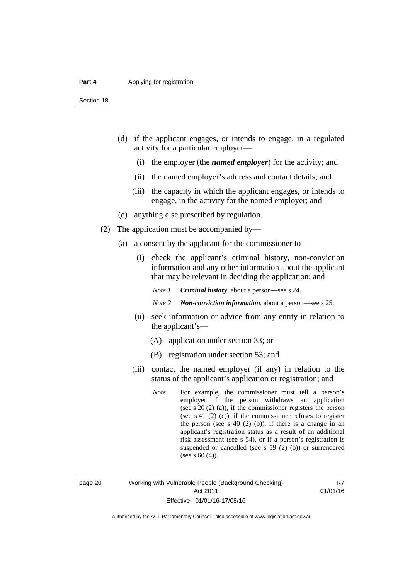- (d) if the applicant engages, or intends to engage, in a regulated activity for a particular employer—
	- (i) the employer (the *named employer*) for the activity; and
	- (ii) the named employer's address and contact details; and
	- (iii) the capacity in which the applicant engages, or intends to engage, in the activity for the named employer; and
- (e) anything else prescribed by regulation.
- (2) The application must be accompanied by—
	- (a) a consent by the applicant for the commissioner to—
		- (i) check the applicant's criminal history, non-conviction information and any other information about the applicant that may be relevant in deciding the application; and

*Note 1 Criminal history*, about a person*—*see s 24.

*Note 2 Non-conviction information*, about a person—see s 25.

- (ii) seek information or advice from any entity in relation to the applicant's—
	- (A) application under section 33; or
	- (B) registration under section 53; and
- (iii) contact the named employer (if any) in relation to the status of the applicant's application or registration; and
	- *Note* For example, the commissioner must tell a person's employer if the person withdraws an application (see s 20 (2) (a)), if the commissioner registers the person (see s 41 (2) (c)), if the commissioner refuses to register the person (see s  $40$  (2) (b)), if there is a change in an applicant's registration status as a result of an additional risk assessment (see s 54), or if a person's registration is suspended or cancelled (see s 59 (2) (b)) or surrendered (see s 60 (4)).

page 20 Working with Vulnerable People (Background Checking) Act 2011 Effective: 01/01/16-17/08/16

R7 01/01/16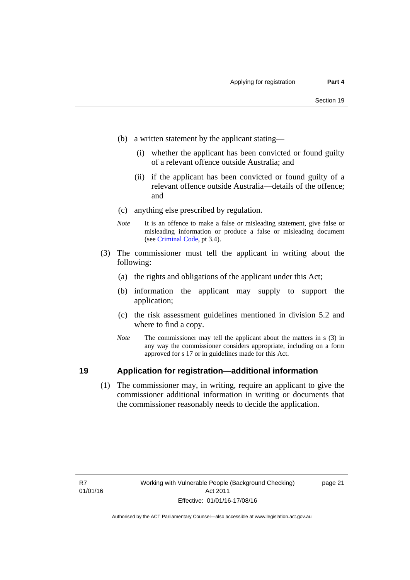- (b) a written statement by the applicant stating—
	- (i) whether the applicant has been convicted or found guilty of a relevant offence outside Australia; and
	- (ii) if the applicant has been convicted or found guilty of a relevant offence outside Australia—details of the offence; and
- (c) anything else prescribed by regulation.
- *Note* It is an offence to make a false or misleading statement, give false or misleading information or produce a false or misleading document (see [Criminal Code,](http://www.legislation.act.gov.au/a/2002-51/default.asp) pt 3.4).
- (3) The commissioner must tell the applicant in writing about the following:
	- (a) the rights and obligations of the applicant under this Act;
	- (b) information the applicant may supply to support the application;
	- (c) the risk assessment guidelines mentioned in division 5.2 and where to find a copy.
	- *Note* The commissioner may tell the applicant about the matters in s (3) in any way the commissioner considers appropriate, including on a form approved for s 17 or in guidelines made for this Act.

### <span id="page-28-0"></span>**19 Application for registration—additional information**

 (1) The commissioner may, in writing, require an applicant to give the commissioner additional information in writing or documents that the commissioner reasonably needs to decide the application.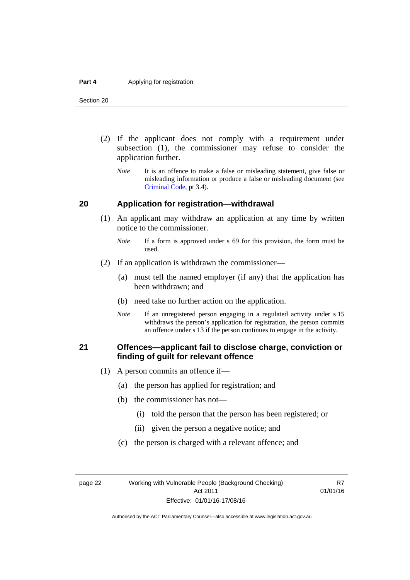Section 20

- (2) If the applicant does not comply with a requirement under subsection (1), the commissioner may refuse to consider the application further.
	- *Note* It is an offence to make a false or misleading statement, give false or misleading information or produce a false or misleading document (see [Criminal Code](http://www.legislation.act.gov.au/a/2002-51/default.asp), pt 3.4).

### <span id="page-29-0"></span>**20 Application for registration—withdrawal**

- (1) An applicant may withdraw an application at any time by written notice to the commissioner.
	- *Note* If a form is approved under s 69 for this provision, the form must be used.
- (2) If an application is withdrawn the commissioner—
	- (a) must tell the named employer (if any) that the application has been withdrawn; and
	- (b) need take no further action on the application.
	- *Note* If an unregistered person engaging in a regulated activity under s 15 withdraws the person's application for registration, the person commits an offence under s 13 if the person continues to engage in the activity.

### <span id="page-29-1"></span>**21 Offences—applicant fail to disclose charge, conviction or finding of guilt for relevant offence**

- (1) A person commits an offence if—
	- (a) the person has applied for registration; and
	- (b) the commissioner has not—
		- (i) told the person that the person has been registered; or
		- (ii) given the person a negative notice; and
	- (c) the person is charged with a relevant offence; and

page 22 Working with Vulnerable People (Background Checking) Act 2011 Effective: 01/01/16-17/08/16

R7 01/01/16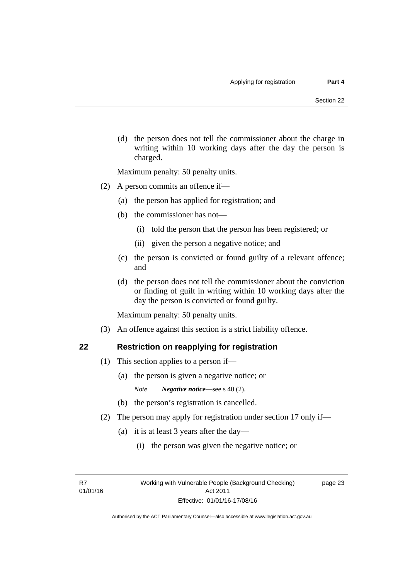(d) the person does not tell the commissioner about the charge in writing within 10 working days after the day the person is charged.

Maximum penalty: 50 penalty units.

- (2) A person commits an offence if—
	- (a) the person has applied for registration; and
	- (b) the commissioner has not—
		- (i) told the person that the person has been registered; or
		- (ii) given the person a negative notice; and
	- (c) the person is convicted or found guilty of a relevant offence; and
	- (d) the person does not tell the commissioner about the conviction or finding of guilt in writing within 10 working days after the day the person is convicted or found guilty.

Maximum penalty: 50 penalty units.

(3) An offence against this section is a strict liability offence.

<span id="page-30-0"></span>

### **22 Restriction on reapplying for registration**

- (1) This section applies to a person if—
	- (a) the person is given a negative notice; or

*Note Negative notice*—see s 40 (2).

- (b) the person's registration is cancelled.
- (2) The person may apply for registration under section 17 only if—
	- (a) it is at least 3 years after the day—
		- (i) the person was given the negative notice; or

R7 01/01/16 page 23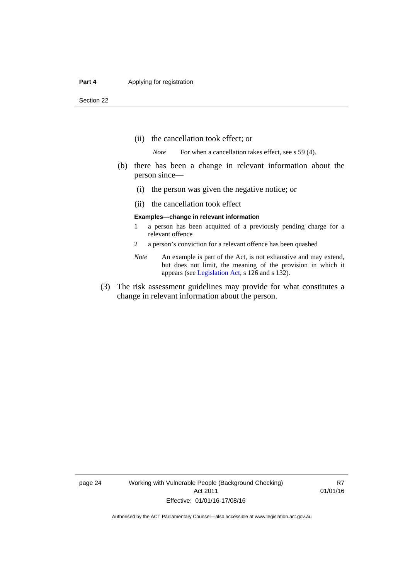#### **Part 4 Applying for registration**

Section 22

- (ii) the cancellation took effect; or
	- *Note* For when a cancellation takes effect, see s 59 (4).
- (b) there has been a change in relevant information about the person since—
	- (i) the person was given the negative notice; or
	- (ii) the cancellation took effect

#### **Examples—change in relevant information**

- 1 a person has been acquitted of a previously pending charge for a relevant offence
- 2 a person's conviction for a relevant offence has been quashed
- *Note* An example is part of the Act, is not exhaustive and may extend, but does not limit, the meaning of the provision in which it appears (see [Legislation Act,](http://www.legislation.act.gov.au/a/2001-14) s 126 and s 132).
- (3) The risk assessment guidelines may provide for what constitutes a change in relevant information about the person.

page 24 Working with Vulnerable People (Background Checking) Act 2011 Effective: 01/01/16-17/08/16

R7 01/01/16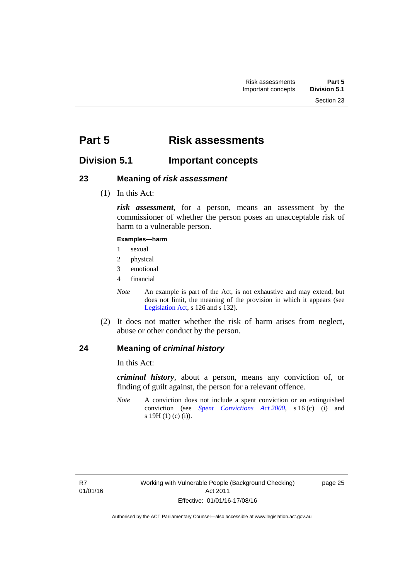# <span id="page-32-0"></span>**Part 5 Risk assessments**

### <span id="page-32-1"></span>**Division 5.1 Important concepts**

### <span id="page-32-2"></span>**23 Meaning of** *risk assessment*

(1) In this Act:

*risk assessment*, for a person, means an assessment by the commissioner of whether the person poses an unacceptable risk of harm to a vulnerable person.

### **Examples—harm**

- 1 sexual
- 2 physical
- 3 emotional
- 4 financial
- *Note* An example is part of the Act, is not exhaustive and may extend, but does not limit, the meaning of the provision in which it appears (see [Legislation Act,](http://www.legislation.act.gov.au/a/2001-14) s 126 and s 132).
- (2) It does not matter whether the risk of harm arises from neglect, abuse or other conduct by the person.

### <span id="page-32-3"></span>**24 Meaning of** *criminal history*

In this Act:

*criminal history*, about a person, means any conviction of, or finding of guilt against, the person for a relevant offence.

*Note* A conviction does not include a spent conviction or an extinguished conviction (see *[Spent Convictions Act 2000](http://www.legislation.act.gov.au/a/2000-48)*, s 16 (c) (i) and s 19H (1) (c) (i)).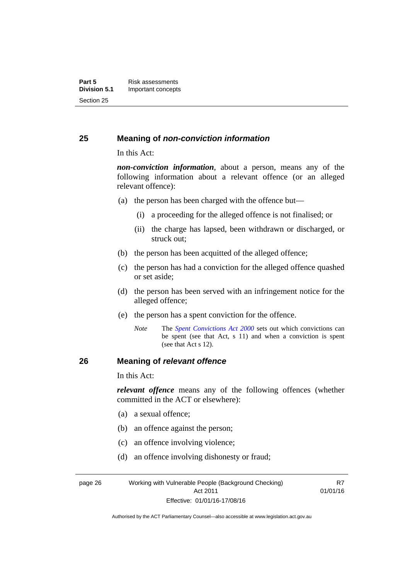### <span id="page-33-0"></span>**25 Meaning of** *non-conviction information*

In this Act:

*non-conviction information*, about a person, means any of the following information about a relevant offence (or an alleged relevant offence):

- (a) the person has been charged with the offence but—
	- (i) a proceeding for the alleged offence is not finalised; or
	- (ii) the charge has lapsed, been withdrawn or discharged, or struck out;
- (b) the person has been acquitted of the alleged offence;
- (c) the person has had a conviction for the alleged offence quashed or set aside;
- (d) the person has been served with an infringement notice for the alleged offence;
- (e) the person has a spent conviction for the offence.
	- *Note* The *[Spent Convictions Act 2000](http://www.legislation.act.gov.au/a/2000-48)* sets out which convictions can be spent (see that Act, s 11) and when a conviction is spent (see that Act s 12).

### <span id="page-33-1"></span>**26 Meaning of** *relevant offence*

In this Act:

*relevant offence* means any of the following offences (whether committed in the ACT or elsewhere):

R7

- (a) a sexual offence;
- (b) an offence against the person;
- (c) an offence involving violence;
- (d) an offence involving dishonesty or fraud;

page 26 Working with Vulnerable People (Background Checking) Act 2011 Effective: 01/01/16-17/08/16 01/01/16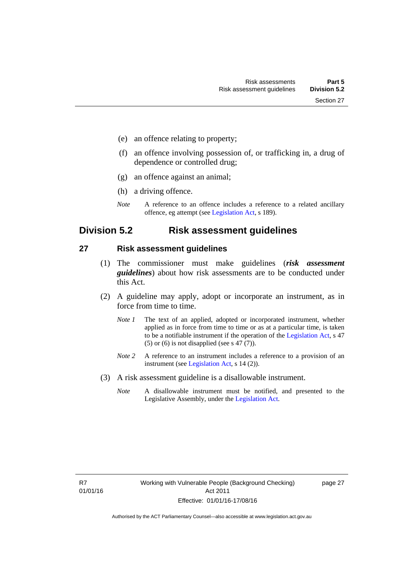- (e) an offence relating to property;
- (f) an offence involving possession of, or trafficking in, a drug of dependence or controlled drug;
- (g) an offence against an animal;
- (h) a driving offence.
- *Note* A reference to an offence includes a reference to a related ancillary offence, eg attempt (see [Legislation Act,](http://www.legislation.act.gov.au/a/2001-14) s 189).

### <span id="page-34-0"></span>**Division 5.2 Risk assessment guidelines**

#### <span id="page-34-1"></span>**27 Risk assessment guidelines**

- (1) The commissioner must make guidelines (*risk assessment guidelines*) about how risk assessments are to be conducted under this Act.
- (2) A guideline may apply, adopt or incorporate an instrument, as in force from time to time.
	- *Note 1* The text of an applied, adopted or incorporated instrument, whether applied as in force from time to time or as at a particular time, is taken to be a notifiable instrument if the operation of the [Legislation Act,](http://www.legislation.act.gov.au/a/2001-14) s 47 (5) or (6) is not disapplied (see s 47 (7)).
	- *Note 2* A reference to an instrument includes a reference to a provision of an instrument (see [Legislation Act,](http://www.legislation.act.gov.au/a/2001-14) s 14 (2)).
- (3) A risk assessment guideline is a disallowable instrument.
	- *Note* A disallowable instrument must be notified, and presented to the Legislative Assembly, under the [Legislation Act.](http://www.legislation.act.gov.au/a/2001-14)

page 27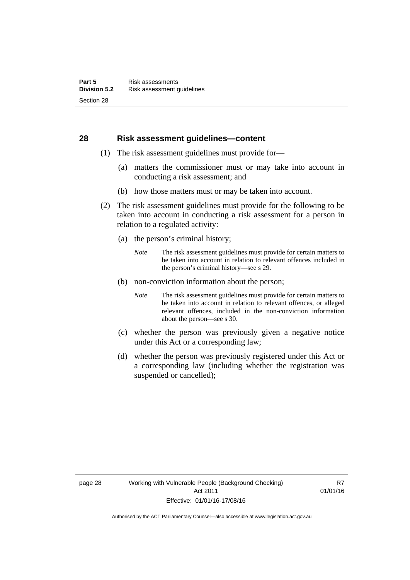### <span id="page-35-0"></span>**28 Risk assessment guidelines—content**

- (1) The risk assessment guidelines must provide for—
	- (a) matters the commissioner must or may take into account in conducting a risk assessment; and
	- (b) how those matters must or may be taken into account.
- (2) The risk assessment guidelines must provide for the following to be taken into account in conducting a risk assessment for a person in relation to a regulated activity:
	- (a) the person's criminal history;
		- *Note* The risk assessment guidelines must provide for certain matters to be taken into account in relation to relevant offences included in the person's criminal history—see s 29.
	- (b) non-conviction information about the person;
		- *Note* The risk assessment guidelines must provide for certain matters to be taken into account in relation to relevant offences, or alleged relevant offences, included in the non-conviction information about the person—see s 30.
	- (c) whether the person was previously given a negative notice under this Act or a corresponding law;
	- (d) whether the person was previously registered under this Act or a corresponding law (including whether the registration was suspended or cancelled);

R7 01/01/16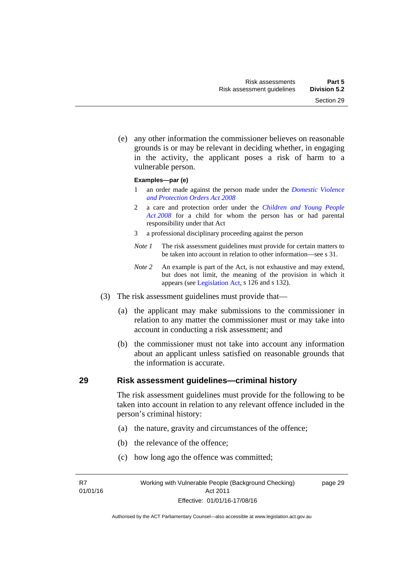Section 29

 (e) any other information the commissioner believes on reasonable grounds is or may be relevant in deciding whether, in engaging in the activity, the applicant poses a risk of harm to a

#### **Examples—par (e)**

vulnerable person.

- 1 an order made against the person made under the *[Domestic Violence](http://www.legislation.act.gov.au/a/2008-46)  [and Protection Orders Act 2008](http://www.legislation.act.gov.au/a/2008-46)*
- 2 a care and protection order under the *[Children and Young People](http://www.legislation.act.gov.au/a/2008-19)  [Act 2008](http://www.legislation.act.gov.au/a/2008-19)* for a child for whom the person has or had parental responsibility under that Act
- 3 a professional disciplinary proceeding against the person
- *Note 1* The risk assessment guidelines must provide for certain matters to be taken into account in relation to other information—see s 31.
- *Note 2* An example is part of the Act, is not exhaustive and may extend, but does not limit, the meaning of the provision in which it appears (see [Legislation Act,](http://www.legislation.act.gov.au/a/2001-14) s 126 and s 132).
- (3) The risk assessment guidelines must provide that—
	- (a) the applicant may make submissions to the commissioner in relation to any matter the commissioner must or may take into account in conducting a risk assessment; and
	- (b) the commissioner must not take into account any information about an applicant unless satisfied on reasonable grounds that the information is accurate.

# **29 Risk assessment guidelines—criminal history**

The risk assessment guidelines must provide for the following to be taken into account in relation to any relevant offence included in the person's criminal history:

- (a) the nature, gravity and circumstances of the offence;
- (b) the relevance of the offence;
- (c) how long ago the offence was committed;

R7 01/01/16 page 29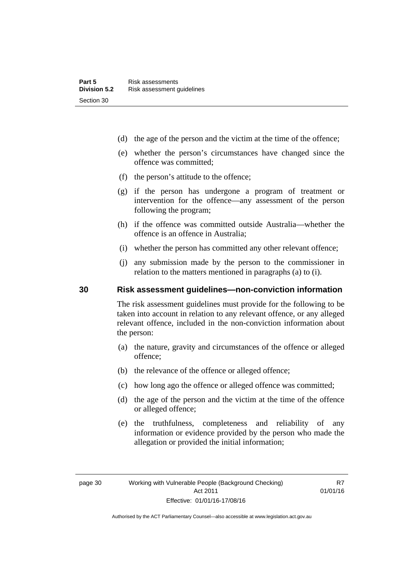- (d) the age of the person and the victim at the time of the offence;
- (e) whether the person's circumstances have changed since the offence was committed;
- (f) the person's attitude to the offence;
- (g) if the person has undergone a program of treatment or intervention for the offence—any assessment of the person following the program;
- (h) if the offence was committed outside Australia—whether the offence is an offence in Australia;
- (i) whether the person has committed any other relevant offence;
- (j) any submission made by the person to the commissioner in relation to the matters mentioned in paragraphs (a) to (i).

# **30 Risk assessment guidelines—non-conviction information**

The risk assessment guidelines must provide for the following to be taken into account in relation to any relevant offence, or any alleged relevant offence, included in the non-conviction information about the person:

- (a) the nature, gravity and circumstances of the offence or alleged offence;
- (b) the relevance of the offence or alleged offence;
- (c) how long ago the offence or alleged offence was committed;
- (d) the age of the person and the victim at the time of the offence or alleged offence;
- (e) the truthfulness, completeness and reliability of any information or evidence provided by the person who made the allegation or provided the initial information;

R7 01/01/16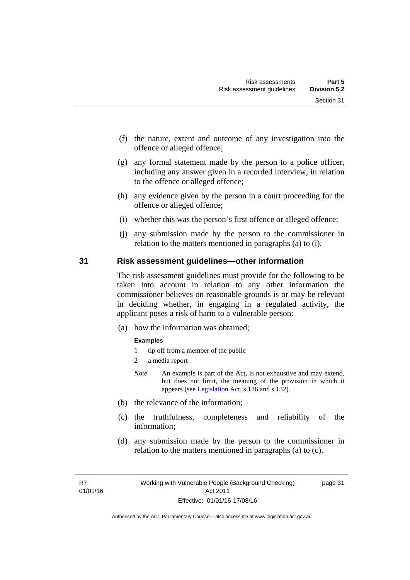- (f) the nature, extent and outcome of any investigation into the offence or alleged offence;
- (g) any formal statement made by the person to a police officer, including any answer given in a recorded interview, in relation to the offence or alleged offence;
- (h) any evidence given by the person in a court proceeding for the offence or alleged offence;
- (i) whether this was the person's first offence or alleged offence;
- (j) any submission made by the person to the commissioner in relation to the matters mentioned in paragraphs (a) to (i).

### **31 Risk assessment guidelines—other information**

The risk assessment guidelines must provide for the following to be taken into account in relation to any other information the commissioner believes on reasonable grounds is or may be relevant in deciding whether, in engaging in a regulated activity, the applicant poses a risk of harm to a vulnerable person:

(a) how the information was obtained;

#### **Examples**

- 1 tip off from a member of the public
- 2 a media report
- *Note* An example is part of the Act, is not exhaustive and may extend, but does not limit, the meaning of the provision in which it appears (see [Legislation Act,](http://www.legislation.act.gov.au/a/2001-14) s 126 and s 132).
- (b) the relevance of the information;
- (c) the truthfulness, completeness and reliability of the information;
- (d) any submission made by the person to the commissioner in relation to the matters mentioned in paragraphs (a) to (c).

R7 01/01/16 page 31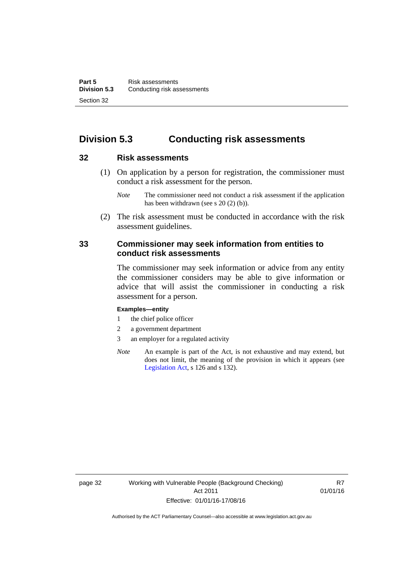# **Division 5.3 Conducting risk assessments**

# **32 Risk assessments**

 (1) On application by a person for registration, the commissioner must conduct a risk assessment for the person.

 (2) The risk assessment must be conducted in accordance with the risk assessment guidelines.

# **33 Commissioner may seek information from entities to conduct risk assessments**

The commissioner may seek information or advice from any entity the commissioner considers may be able to give information or advice that will assist the commissioner in conducting a risk assessment for a person.

#### **Examples—entity**

- 1 the chief police officer
- 2 a government department
- 3 an employer for a regulated activity
- *Note* An example is part of the Act, is not exhaustive and may extend, but does not limit, the meaning of the provision in which it appears (see [Legislation Act,](http://www.legislation.act.gov.au/a/2001-14) s 126 and s 132).

*Note* The commissioner need not conduct a risk assessment if the application has been withdrawn (see s 20 (2) (b)).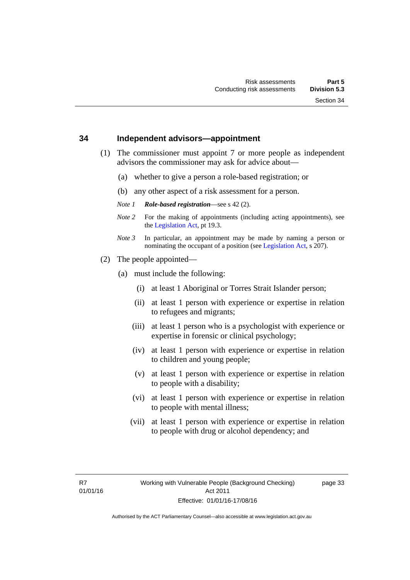#### **34 Independent advisors—appointment**

- (1) The commissioner must appoint 7 or more people as independent advisors the commissioner may ask for advice about—
	- (a) whether to give a person a role-based registration; or
	- (b) any other aspect of a risk assessment for a person.
	- *Note 1 Role-based registration*—see s 42 (2).
	- *Note 2* For the making of appointments (including acting appointments), see the [Legislation Act,](http://www.legislation.act.gov.au/a/2001-14) pt 19.3.
	- *Note 3* In particular, an appointment may be made by naming a person or nominating the occupant of a position (see [Legislation Act](http://www.legislation.act.gov.au/a/2001-14), s 207).
- (2) The people appointed—
	- (a) must include the following:
		- (i) at least 1 Aboriginal or Torres Strait Islander person;
		- (ii) at least 1 person with experience or expertise in relation to refugees and migrants;
		- (iii) at least 1 person who is a psychologist with experience or expertise in forensic or clinical psychology;
		- (iv) at least 1 person with experience or expertise in relation to children and young people;
		- (v) at least 1 person with experience or expertise in relation to people with a disability;
		- (vi) at least 1 person with experience or expertise in relation to people with mental illness;
		- (vii) at least 1 person with experience or expertise in relation to people with drug or alcohol dependency; and

page 33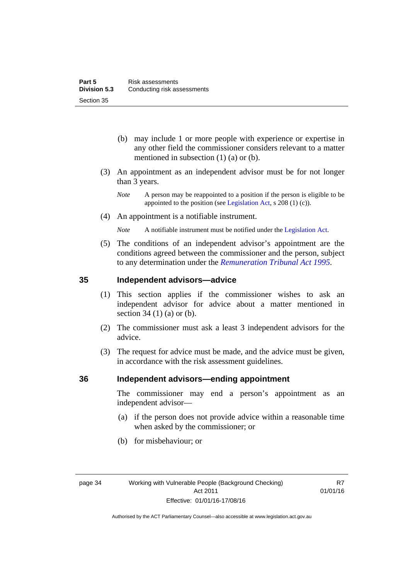- (b) may include 1 or more people with experience or expertise in any other field the commissioner considers relevant to a matter mentioned in subsection (1) (a) or (b).
- (3) An appointment as an independent advisor must be for not longer than 3 years.
	- *Note* A person may be reappointed to a position if the person is eligible to be appointed to the position (see [Legislation Act](http://www.legislation.act.gov.au/a/2001-14), s 208 (1) (c)).
- (4) An appointment is a notifiable instrument.
	- *Note* A notifiable instrument must be notified under the [Legislation Act](http://www.legislation.act.gov.au/a/2001-14).
- (5) The conditions of an independent advisor's appointment are the conditions agreed between the commissioner and the person, subject to any determination under the *[Remuneration Tribunal Act 1995](http://www.legislation.act.gov.au/a/1995-55)*.

# **35 Independent advisors—advice**

- (1) This section applies if the commissioner wishes to ask an independent advisor for advice about a matter mentioned in section 34 (1) (a) or (b).
- (2) The commissioner must ask a least 3 independent advisors for the advice.
- (3) The request for advice must be made, and the advice must be given, in accordance with the risk assessment guidelines.

### **36 Independent advisors—ending appointment**

The commissioner may end a person's appointment as an independent advisor—

- (a) if the person does not provide advice within a reasonable time when asked by the commissioner; or
- (b) for misbehaviour; or

R7 01/01/16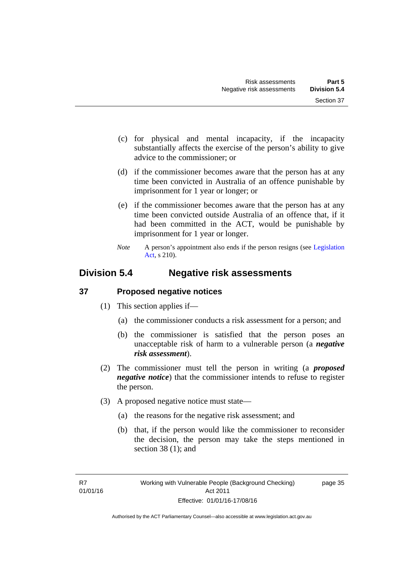- (c) for physical and mental incapacity, if the incapacity substantially affects the exercise of the person's ability to give advice to the commissioner; or
- (d) if the commissioner becomes aware that the person has at any time been convicted in Australia of an offence punishable by imprisonment for 1 year or longer; or
- (e) if the commissioner becomes aware that the person has at any time been convicted outside Australia of an offence that, if it had been committed in the ACT, would be punishable by imprisonment for 1 year or longer.
- *Note* A person's appointment also ends if the person resigns (see Legislation [Act](http://www.legislation.act.gov.au/a/2001-14), s 210).

# **Division 5.4 Negative risk assessments**

# **37 Proposed negative notices**

- (1) This section applies if—
	- (a) the commissioner conducts a risk assessment for a person; and
	- (b) the commissioner is satisfied that the person poses an unacceptable risk of harm to a vulnerable person (a *negative risk assessment*).
- (2) The commissioner must tell the person in writing (a *proposed negative notice*) that the commissioner intends to refuse to register the person.
- (3) A proposed negative notice must state—
	- (a) the reasons for the negative risk assessment; and
	- (b) that, if the person would like the commissioner to reconsider the decision, the person may take the steps mentioned in section 38 (1); and

page 35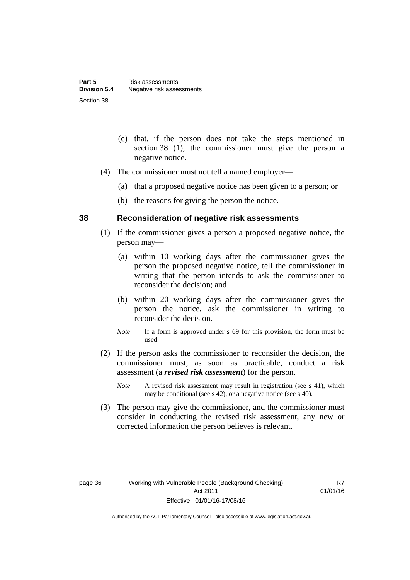- (c) that, if the person does not take the steps mentioned in section 38 (1), the commissioner must give the person a negative notice.
- (4) The commissioner must not tell a named employer—
	- (a) that a proposed negative notice has been given to a person; or
	- (b) the reasons for giving the person the notice.

#### **38 Reconsideration of negative risk assessments**

- (1) If the commissioner gives a person a proposed negative notice, the person may—
	- (a) within 10 working days after the commissioner gives the person the proposed negative notice, tell the commissioner in writing that the person intends to ask the commissioner to reconsider the decision; and
	- (b) within 20 working days after the commissioner gives the person the notice, ask the commissioner in writing to reconsider the decision.
	- *Note* If a form is approved under s 69 for this provision, the form must be used.
- (2) If the person asks the commissioner to reconsider the decision, the commissioner must, as soon as practicable, conduct a risk assessment (a *revised risk assessment*) for the person.
	- *Note* A revised risk assessment may result in registration (see s 41), which may be conditional (see s 42), or a negative notice (see s 40).
- (3) The person may give the commissioner, and the commissioner must consider in conducting the revised risk assessment, any new or corrected information the person believes is relevant.

R7 01/01/16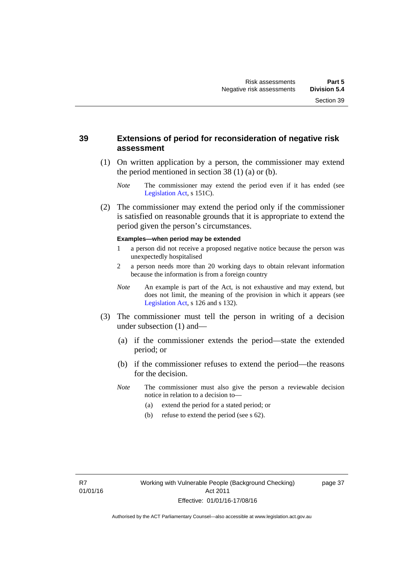# **39 Extensions of period for reconsideration of negative risk assessment**

- (1) On written application by a person, the commissioner may extend the period mentioned in section 38 (1) (a) or (b).
	- *Note* The commissioner may extend the period even if it has ended (see [Legislation Act,](http://www.legislation.act.gov.au/a/2001-14) s 151C).
- (2) The commissioner may extend the period only if the commissioner is satisfied on reasonable grounds that it is appropriate to extend the period given the person's circumstances.

#### **Examples—when period may be extended**

- 1 a person did not receive a proposed negative notice because the person was unexpectedly hospitalised
- 2 a person needs more than 20 working days to obtain relevant information because the information is from a foreign country
- *Note* An example is part of the Act, is not exhaustive and may extend, but does not limit, the meaning of the provision in which it appears (see [Legislation Act,](http://www.legislation.act.gov.au/a/2001-14) s 126 and s 132).
- (3) The commissioner must tell the person in writing of a decision under subsection (1) and—
	- (a) if the commissioner extends the period—state the extended period; or
	- (b) if the commissioner refuses to extend the period—the reasons for the decision.
	- *Note* The commissioner must also give the person a reviewable decision notice in relation to a decision to—
		- (a) extend the period for a stated period; or
		- (b) refuse to extend the period (see s 62).

page 37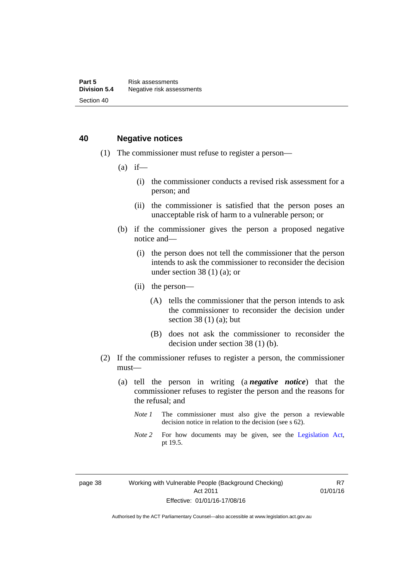# **40 Negative notices**

- (1) The commissioner must refuse to register a person—
	- $(a)$  if—
		- (i) the commissioner conducts a revised risk assessment for a person; and
		- (ii) the commissioner is satisfied that the person poses an unacceptable risk of harm to a vulnerable person; or
	- (b) if the commissioner gives the person a proposed negative notice and—
		- (i) the person does not tell the commissioner that the person intends to ask the commissioner to reconsider the decision under section  $38(1)(a)$ ; or
		- (ii) the person—
			- (A) tells the commissioner that the person intends to ask the commissioner to reconsider the decision under section 38 $(1)$  $(a)$ ; but
			- (B) does not ask the commissioner to reconsider the decision under section 38 (1) (b).
- (2) If the commissioner refuses to register a person, the commissioner must—
	- (a) tell the person in writing (a *negative notice*) that the commissioner refuses to register the person and the reasons for the refusal; and
		- *Note 1* The commissioner must also give the person a reviewable decision notice in relation to the decision (see s 62).
		- *Note* 2 For how documents may be given, see the [Legislation Act,](http://www.legislation.act.gov.au/a/2001-14) pt 19.5.

page 38 Working with Vulnerable People (Background Checking) Act 2011 Effective: 01/01/16-17/08/16

R7 01/01/16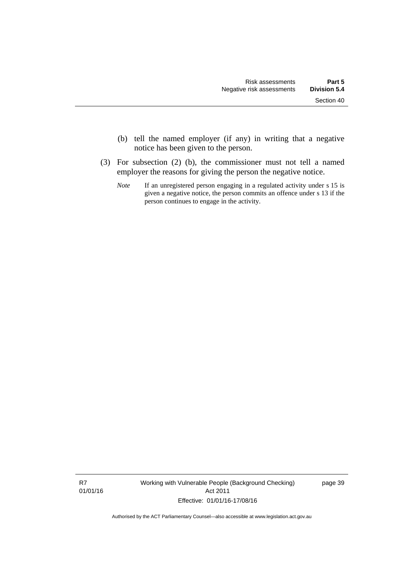- (b) tell the named employer (if any) in writing that a negative notice has been given to the person.
- (3) For subsection (2) (b), the commissioner must not tell a named employer the reasons for giving the person the negative notice.
	- *Note* If an unregistered person engaging in a regulated activity under s 15 is given a negative notice, the person commits an offence under s 13 if the person continues to engage in the activity.

R7 01/01/16 Working with Vulnerable People (Background Checking) Act 2011 Effective: 01/01/16-17/08/16

page 39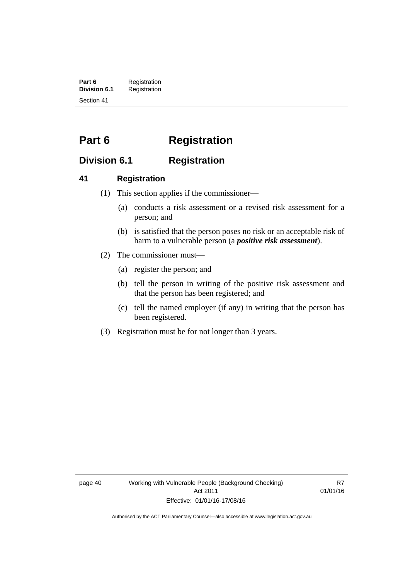**Part 6** Registration<br>**Division 6.1** Registration **Division 6.1** Registration Section 41

# **Part 6 Registration**

# **Division 6.1 Registration**

# **41 Registration**

- (1) This section applies if the commissioner—
	- (a) conducts a risk assessment or a revised risk assessment for a person; and
	- (b) is satisfied that the person poses no risk or an acceptable risk of harm to a vulnerable person (a *positive risk assessment*).
- (2) The commissioner must—
	- (a) register the person; and
	- (b) tell the person in writing of the positive risk assessment and that the person has been registered; and
	- (c) tell the named employer (if any) in writing that the person has been registered.
- (3) Registration must be for not longer than 3 years.

page 40 Working with Vulnerable People (Background Checking) Act 2011 Effective: 01/01/16-17/08/16

R7 01/01/16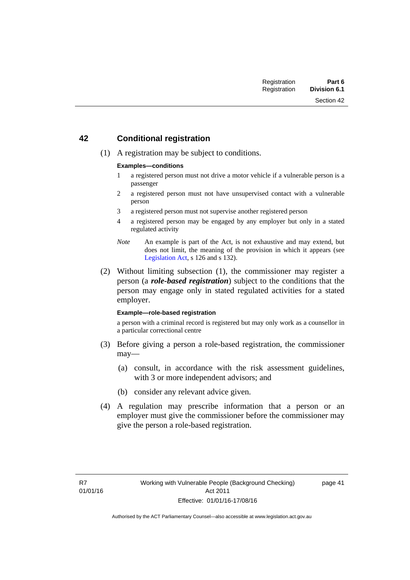# **42 Conditional registration**

(1) A registration may be subject to conditions.

#### **Examples—conditions**

- 1 a registered person must not drive a motor vehicle if a vulnerable person is a passenger
- 2 a registered person must not have unsupervised contact with a vulnerable person
- 3 a registered person must not supervise another registered person
- 4 a registered person may be engaged by any employer but only in a stated regulated activity
- *Note* An example is part of the Act, is not exhaustive and may extend, but does not limit, the meaning of the provision in which it appears (see [Legislation Act,](http://www.legislation.act.gov.au/a/2001-14) s 126 and s 132).
- (2) Without limiting subsection (1), the commissioner may register a person (a *role-based registration*) subject to the conditions that the person may engage only in stated regulated activities for a stated employer.

#### **Example—role-based registration**

a person with a criminal record is registered but may only work as a counsellor in a particular correctional centre

- (3) Before giving a person a role-based registration, the commissioner may—
	- (a) consult, in accordance with the risk assessment guidelines, with 3 or more independent advisors; and
	- (b) consider any relevant advice given.
- (4) A regulation may prescribe information that a person or an employer must give the commissioner before the commissioner may give the person a role-based registration.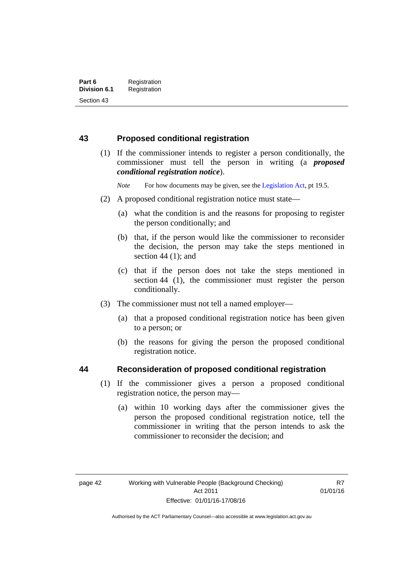# **43 Proposed conditional registration**

 (1) If the commissioner intends to register a person conditionally, the commissioner must tell the person in writing (a *proposed conditional registration notice*).

*Note* For how documents may be given, see the [Legislation Act,](http://www.legislation.act.gov.au/a/2001-14) pt 19.5.

- (2) A proposed conditional registration notice must state—
	- (a) what the condition is and the reasons for proposing to register the person conditionally; and
	- (b) that, if the person would like the commissioner to reconsider the decision, the person may take the steps mentioned in section  $44$  (1); and
	- (c) that if the person does not take the steps mentioned in section 44 (1), the commissioner must register the person conditionally.
- (3) The commissioner must not tell a named employer—
	- (a) that a proposed conditional registration notice has been given to a person; or
	- (b) the reasons for giving the person the proposed conditional registration notice.

# **44 Reconsideration of proposed conditional registration**

- (1) If the commissioner gives a person a proposed conditional registration notice, the person may—
	- (a) within 10 working days after the commissioner gives the person the proposed conditional registration notice, tell the commissioner in writing that the person intends to ask the commissioner to reconsider the decision; and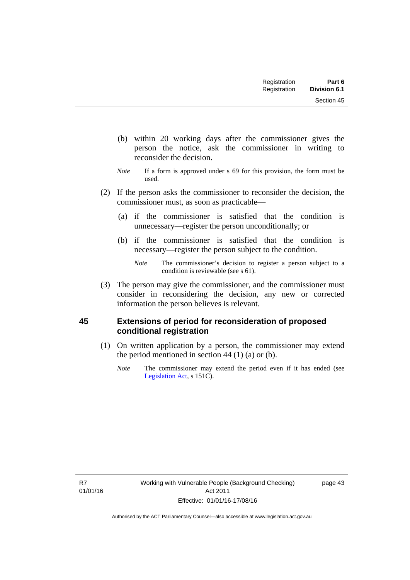Section 45

- (b) within 20 working days after the commissioner gives the person the notice, ask the commissioner in writing to reconsider the decision.
- *Note* If a form is approved under s 69 for this provision, the form must be used.
- (2) If the person asks the commissioner to reconsider the decision, the commissioner must, as soon as practicable—
	- (a) if the commissioner is satisfied that the condition is unnecessary—register the person unconditionally; or
	- (b) if the commissioner is satisfied that the condition is necessary—register the person subject to the condition.

 (3) The person may give the commissioner, and the commissioner must consider in reconsidering the decision, any new or corrected information the person believes is relevant.

# **45 Extensions of period for reconsideration of proposed conditional registration**

- (1) On written application by a person, the commissioner may extend the period mentioned in section  $44$  (1) (a) or (b).
	- *Note* The commissioner may extend the period even if it has ended (see [Legislation Act,](http://www.legislation.act.gov.au/a/2001-14) s 151C).

page 43

*Note* The commissioner's decision to register a person subject to a condition is reviewable (see s 61).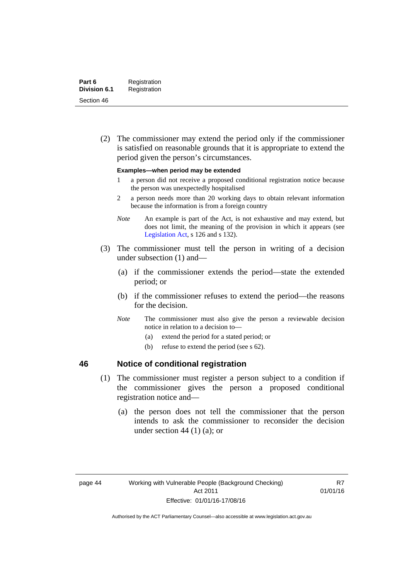(2) The commissioner may extend the period only if the commissioner is satisfied on reasonable grounds that it is appropriate to extend the period given the person's circumstances.

#### **Examples—when period may be extended**

- 1 a person did not receive a proposed conditional registration notice because the person was unexpectedly hospitalised
- 2 a person needs more than 20 working days to obtain relevant information because the information is from a foreign country
- *Note* An example is part of the Act, is not exhaustive and may extend, but does not limit, the meaning of the provision in which it appears (see [Legislation Act,](http://www.legislation.act.gov.au/a/2001-14) s 126 and s 132).
- (3) The commissioner must tell the person in writing of a decision under subsection (1) and—
	- (a) if the commissioner extends the period—state the extended period; or
	- (b) if the commissioner refuses to extend the period—the reasons for the decision.
	- *Note* The commissioner must also give the person a reviewable decision notice in relation to a decision to—
		- (a) extend the period for a stated period; or
		- (b) refuse to extend the period (see s 62).

# **46 Notice of conditional registration**

- (1) The commissioner must register a person subject to a condition if the commissioner gives the person a proposed conditional registration notice and—
	- (a) the person does not tell the commissioner that the person intends to ask the commissioner to reconsider the decision under section 44  $(1)$   $(a)$ ; or

R7 01/01/16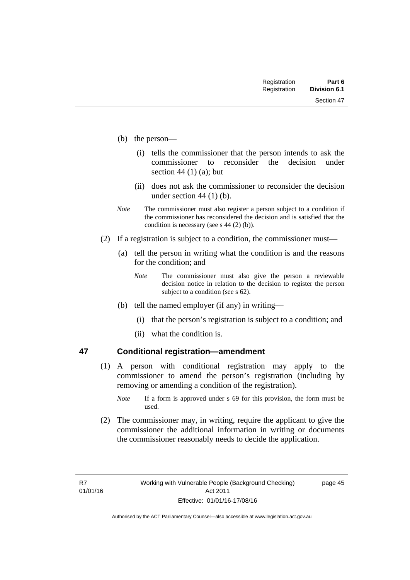- (b) the person—
	- (i) tells the commissioner that the person intends to ask the commissioner to reconsider the decision under section 44 $(1)$  $(a)$ ; but
	- (ii) does not ask the commissioner to reconsider the decision under section 44 (1) (b).
- *Note* The commissioner must also register a person subject to a condition if the commissioner has reconsidered the decision and is satisfied that the condition is necessary (see s 44 (2) (b)).
- (2) If a registration is subject to a condition, the commissioner must—
	- (a) tell the person in writing what the condition is and the reasons for the condition; and
		- *Note* The commissioner must also give the person a reviewable decision notice in relation to the decision to register the person subject to a condition (see s 62).
	- (b) tell the named employer (if any) in writing—
		- (i) that the person's registration is subject to a condition; and
		- (ii) what the condition is.

## **47 Conditional registration—amendment**

- (1) A person with conditional registration may apply to the commissioner to amend the person's registration (including by removing or amending a condition of the registration).
	- *Note* If a form is approved under s 69 for this provision, the form must be used.
- (2) The commissioner may, in writing, require the applicant to give the commissioner the additional information in writing or documents the commissioner reasonably needs to decide the application.

page 45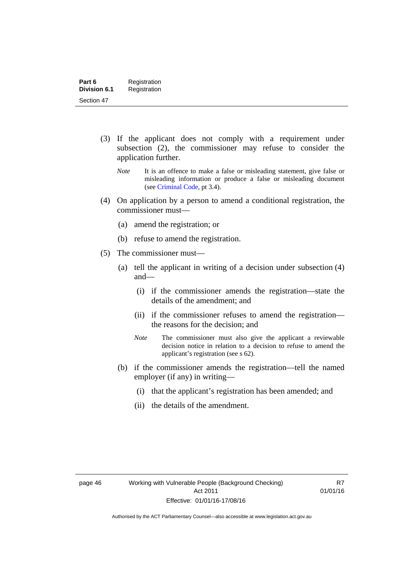- (3) If the applicant does not comply with a requirement under subsection (2), the commissioner may refuse to consider the application further.
	- *Note* It is an offence to make a false or misleading statement, give false or misleading information or produce a false or misleading document (see [Criminal Code,](http://www.legislation.act.gov.au/a/2002-51/default.asp) pt 3.4).
- (4) On application by a person to amend a conditional registration, the commissioner must—
	- (a) amend the registration; or
	- (b) refuse to amend the registration.
- (5) The commissioner must—
	- (a) tell the applicant in writing of a decision under subsection (4) and—
		- (i) if the commissioner amends the registration—state the details of the amendment; and
		- (ii) if the commissioner refuses to amend the registration the reasons for the decision; and
		- *Note* The commissioner must also give the applicant a reviewable decision notice in relation to a decision to refuse to amend the applicant's registration (see s 62).
	- (b) if the commissioner amends the registration—tell the named employer (if any) in writing—
		- (i) that the applicant's registration has been amended; and
		- (ii) the details of the amendment.

R7 01/01/16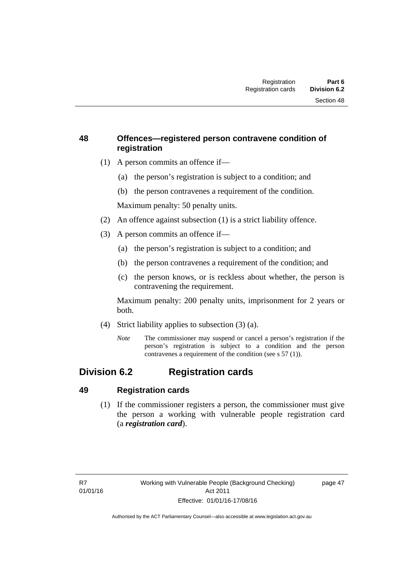# **48 Offences—registered person contravene condition of registration**

- (1) A person commits an offence if—
	- (a) the person's registration is subject to a condition; and
	- (b) the person contravenes a requirement of the condition.

Maximum penalty: 50 penalty units.

- (2) An offence against subsection (1) is a strict liability offence.
- (3) A person commits an offence if—
	- (a) the person's registration is subject to a condition; and
	- (b) the person contravenes a requirement of the condition; and
	- (c) the person knows, or is reckless about whether, the person is contravening the requirement.

Maximum penalty: 200 penalty units, imprisonment for 2 years or both.

- (4) Strict liability applies to subsection (3) (a).
	- *Note* The commissioner may suspend or cancel a person's registration if the person's registration is subject to a condition and the person contravenes a requirement of the condition (see s 57 (1)).

# **Division 6.2 Registration cards**

# **49 Registration cards**

 (1) If the commissioner registers a person, the commissioner must give the person a working with vulnerable people registration card (a *registration card*).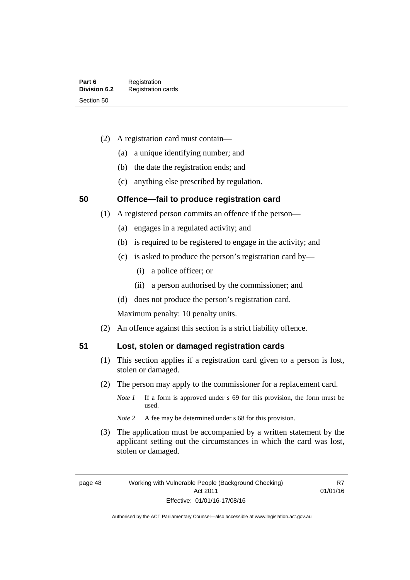- (2) A registration card must contain—
	- (a) a unique identifying number; and
	- (b) the date the registration ends; and
	- (c) anything else prescribed by regulation.

# **50 Offence—fail to produce registration card**

- (1) A registered person commits an offence if the person—
	- (a) engages in a regulated activity; and
	- (b) is required to be registered to engage in the activity; and
	- (c) is asked to produce the person's registration card by—
		- (i) a police officer; or
		- (ii) a person authorised by the commissioner; and
	- (d) does not produce the person's registration card.

Maximum penalty: 10 penalty units.

(2) An offence against this section is a strict liability offence.

## **51 Lost, stolen or damaged registration cards**

- (1) This section applies if a registration card given to a person is lost, stolen or damaged.
- (2) The person may apply to the commissioner for a replacement card.
	- *Note 1* If a form is approved under s 69 for this provision, the form must be used.
	- *Note* 2 A fee may be determined under s 68 for this provision.
- (3) The application must be accompanied by a written statement by the applicant setting out the circumstances in which the card was lost, stolen or damaged.

R7 01/01/16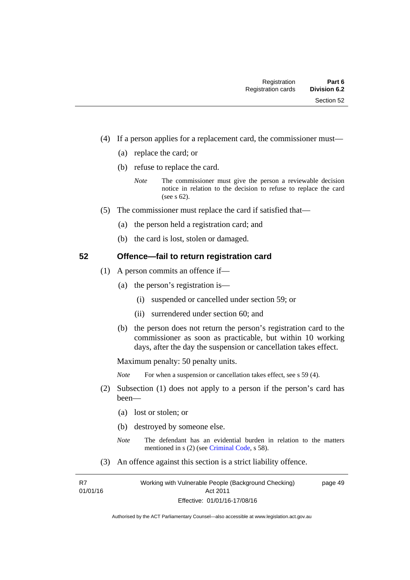- (4) If a person applies for a replacement card, the commissioner must—
	- (a) replace the card; or
	- (b) refuse to replace the card.
		- *Note* The commissioner must give the person a reviewable decision notice in relation to the decision to refuse to replace the card (see s 62).
- (5) The commissioner must replace the card if satisfied that—
	- (a) the person held a registration card; and
	- (b) the card is lost, stolen or damaged.

## **52 Offence—fail to return registration card**

- (1) A person commits an offence if—
	- (a) the person's registration is—
		- (i) suspended or cancelled under section 59; or
		- (ii) surrendered under section 60; and
	- (b) the person does not return the person's registration card to the commissioner as soon as practicable, but within 10 working days, after the day the suspension or cancellation takes effect.

Maximum penalty: 50 penalty units.

*Note* For when a suspension or cancellation takes effect, see s 59 (4).

- (2) Subsection (1) does not apply to a person if the person's card has been—
	- (a) lost or stolen; or
	- (b) destroyed by someone else.
	- *Note* The defendant has an evidential burden in relation to the matters mentioned in s (2) (see [Criminal Code](http://www.legislation.act.gov.au/a/2002-51/default.asp), s 58).
- (3) An offence against this section is a strict liability offence.

R7 01/01/16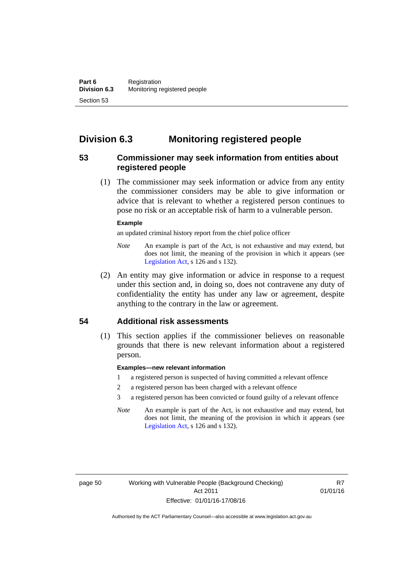# **Division 6.3 Monitoring registered people**

# **53 Commissioner may seek information from entities about registered people**

 (1) The commissioner may seek information or advice from any entity the commissioner considers may be able to give information or advice that is relevant to whether a registered person continues to pose no risk or an acceptable risk of harm to a vulnerable person.

#### **Example**

an updated criminal history report from the chief police officer

- *Note* An example is part of the Act, is not exhaustive and may extend, but does not limit, the meaning of the provision in which it appears (see [Legislation Act,](http://www.legislation.act.gov.au/a/2001-14) s 126 and s 132).
- (2) An entity may give information or advice in response to a request under this section and, in doing so, does not contravene any duty of confidentiality the entity has under any law or agreement, despite anything to the contrary in the law or agreement.

# **54 Additional risk assessments**

(1) This section applies if the commissioner believes on reasonable grounds that there is new relevant information about a registered person.

#### **Examples—new relevant information**

- 1 a registered person is suspected of having committed a relevant offence
- 2 a registered person has been charged with a relevant offence
- 3 a registered person has been convicted or found guilty of a relevant offence
- *Note* An example is part of the Act, is not exhaustive and may extend, but does not limit, the meaning of the provision in which it appears (see [Legislation Act,](http://www.legislation.act.gov.au/a/2001-14) s 126 and s 132).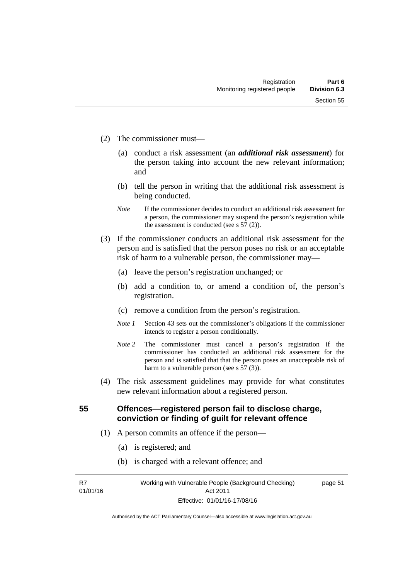- (2) The commissioner must—
	- (a) conduct a risk assessment (an *additional risk assessment*) for the person taking into account the new relevant information; and
	- (b) tell the person in writing that the additional risk assessment is being conducted.
	- *Note* If the commissioner decides to conduct an additional risk assessment for a person, the commissioner may suspend the person's registration while the assessment is conducted (see s  $57(2)$ ).
- (3) If the commissioner conducts an additional risk assessment for the person and is satisfied that the person poses no risk or an acceptable risk of harm to a vulnerable person, the commissioner may—
	- (a) leave the person's registration unchanged; or
	- (b) add a condition to, or amend a condition of, the person's registration.
	- (c) remove a condition from the person's registration.
	- *Note 1* Section 43 sets out the commissioner's obligations if the commissioner intends to register a person conditionally.
	- *Note 2* The commissioner must cancel a person's registration if the commissioner has conducted an additional risk assessment for the person and is satisfied that that the person poses an unacceptable risk of harm to a vulnerable person (see s 57 (3)).
- (4) The risk assessment guidelines may provide for what constitutes new relevant information about a registered person.

**55 Offences—registered person fail to disclose charge, conviction or finding of guilt for relevant offence** 

- (1) A person commits an offence if the person—
	- (a) is registered; and
	- (b) is charged with a relevant offence; and

R7 01/01/16 page 51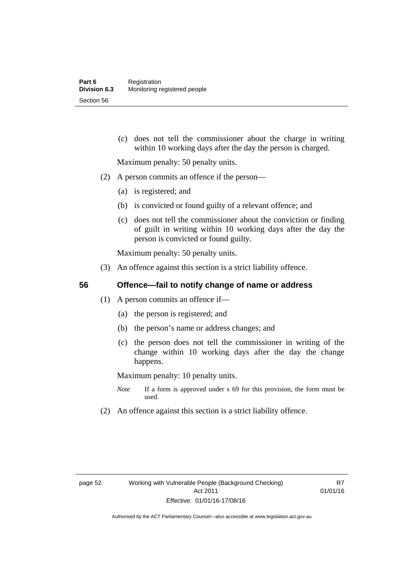(c) does not tell the commissioner about the charge in writing within 10 working days after the day the person is charged.

Maximum penalty: 50 penalty units.

- (2) A person commits an offence if the person—
	- (a) is registered; and
	- (b) is convicted or found guilty of a relevant offence; and
	- (c) does not tell the commissioner about the conviction or finding of guilt in writing within 10 working days after the day the person is convicted or found guilty.

Maximum penalty: 50 penalty units.

(3) An offence against this section is a strict liability offence.

# **56 Offence—fail to notify change of name or address**

- (1) A person commits an offence if—
	- (a) the person is registered; and
	- (b) the person's name or address changes; and
	- (c) the person does not tell the commissioner in writing of the change within 10 working days after the day the change happens.

Maximum penalty: 10 penalty units.

- *Note* If a form is approved under s 69 for this provision, the form must be used.
- (2) An offence against this section is a strict liability offence.

R7 01/01/16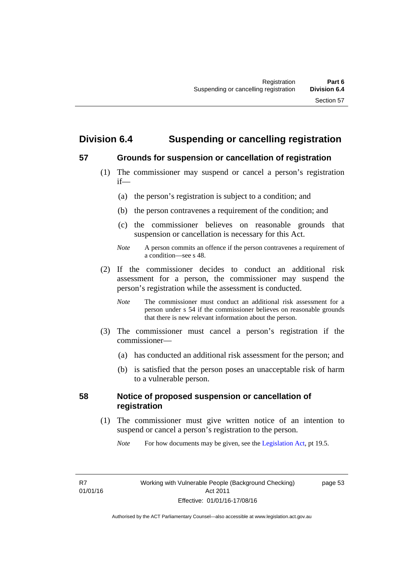# **Division 6.4 Suspending or cancelling registration**

# **57 Grounds for suspension or cancellation of registration**

- (1) The commissioner may suspend or cancel a person's registration if—
	- (a) the person's registration is subject to a condition; and
	- (b) the person contravenes a requirement of the condition; and
	- (c) the commissioner believes on reasonable grounds that suspension or cancellation is necessary for this Act.
	- *Note* A person commits an offence if the person contravenes a requirement of a condition—see s 48.
- (2) If the commissioner decides to conduct an additional risk assessment for a person, the commissioner may suspend the person's registration while the assessment is conducted.
	- *Note* The commissioner must conduct an additional risk assessment for a person under s 54 if the commissioner believes on reasonable grounds that there is new relevant information about the person.
- (3) The commissioner must cancel a person's registration if the commissioner—
	- (a) has conducted an additional risk assessment for the person; and
	- (b) is satisfied that the person poses an unacceptable risk of harm to a vulnerable person.

# **58 Notice of proposed suspension or cancellation of registration**

 (1) The commissioner must give written notice of an intention to suspend or cancel a person's registration to the person.

*Note* For how documents may be given, see the [Legislation Act,](http://www.legislation.act.gov.au/a/2001-14) pt 19.5.

page 53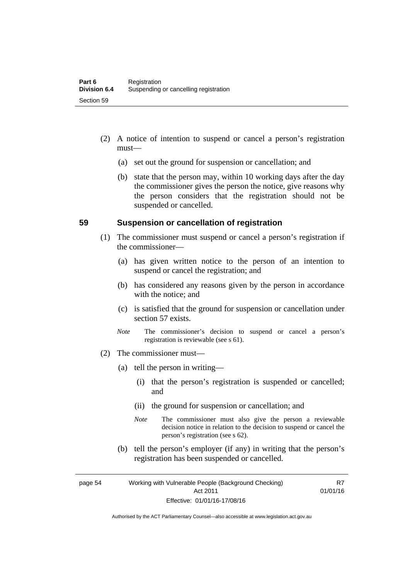- (2) A notice of intention to suspend or cancel a person's registration must—
	- (a) set out the ground for suspension or cancellation; and
	- (b) state that the person may, within 10 working days after the day the commissioner gives the person the notice, give reasons why the person considers that the registration should not be suspended or cancelled.

# **59 Suspension or cancellation of registration**

- (1) The commissioner must suspend or cancel a person's registration if the commissioner—
	- (a) has given written notice to the person of an intention to suspend or cancel the registration; and
	- (b) has considered any reasons given by the person in accordance with the notice; and
	- (c) is satisfied that the ground for suspension or cancellation under section 57 exists.
	- *Note* The commissioner's decision to suspend or cancel a person's registration is reviewable (see s 61).
- (2) The commissioner must—
	- (a) tell the person in writing—
		- (i) that the person's registration is suspended or cancelled; and
		- (ii) the ground for suspension or cancellation; and
		- *Note* The commissioner must also give the person a reviewable decision notice in relation to the decision to suspend or cancel the person's registration (see s 62).
	- (b) tell the person's employer (if any) in writing that the person's registration has been suspended or cancelled.

page 54 Working with Vulnerable People (Background Checking) Act 2011 Effective: 01/01/16-17/08/16

R7 01/01/16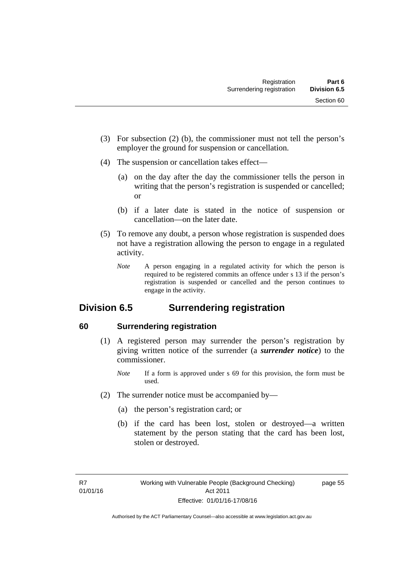- (3) For subsection (2) (b), the commissioner must not tell the person's employer the ground for suspension or cancellation.
- (4) The suspension or cancellation takes effect—
	- (a) on the day after the day the commissioner tells the person in writing that the person's registration is suspended or cancelled; or
	- (b) if a later date is stated in the notice of suspension or cancellation—on the later date.
- (5) To remove any doubt, a person whose registration is suspended does not have a registration allowing the person to engage in a regulated activity.
	- *Note* A person engaging in a regulated activity for which the person is required to be registered commits an offence under s 13 if the person's registration is suspended or cancelled and the person continues to engage in the activity.

# **Division 6.5 Surrendering registration**

# **60 Surrendering registration**

- (1) A registered person may surrender the person's registration by giving written notice of the surrender (a *surrender notice*) to the commissioner.
	- *Note* If a form is approved under s 69 for this provision, the form must be used.
- (2) The surrender notice must be accompanied by—
	- (a) the person's registration card; or
	- (b) if the card has been lost, stolen or destroyed—a written statement by the person stating that the card has been lost, stolen or destroyed.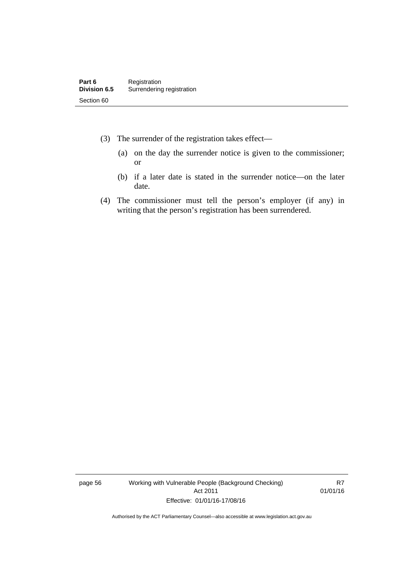- (3) The surrender of the registration takes effect—
	- (a) on the day the surrender notice is given to the commissioner; or
	- (b) if a later date is stated in the surrender notice—on the later date.
- (4) The commissioner must tell the person's employer (if any) in writing that the person's registration has been surrendered.

page 56 Working with Vulnerable People (Background Checking) Act 2011 Effective: 01/01/16-17/08/16

R7 01/01/16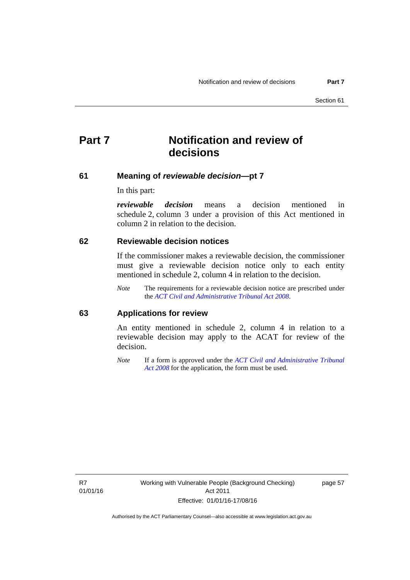# **Part 7 Notification and review of decisions**

#### **61 Meaning of** *reviewable decision***—pt 7**

In this part:

*reviewable decision* means a decision mentioned in schedule 2, column 3 under a provision of this Act mentioned in column 2 in relation to the decision.

### **62 Reviewable decision notices**

If the commissioner makes a reviewable decision, the commissioner must give a reviewable decision notice only to each entity mentioned in schedule 2, column 4 in relation to the decision.

*Note* The requirements for a reviewable decision notice are prescribed under the *[ACT Civil and Administrative Tribunal Act 2008](http://www.legislation.act.gov.au/a/2008-35)*.

## **63 Applications for review**

An entity mentioned in schedule 2, column 4 in relation to a reviewable decision may apply to the ACAT for review of the decision.

*Note* If a form is approved under the *[ACT Civil and Administrative Tribunal](http://www.legislation.act.gov.au/a/2008-35)  [Act 2008](http://www.legislation.act.gov.au/a/2008-35)* for the application, the form must be used.

R7 01/01/16 page 57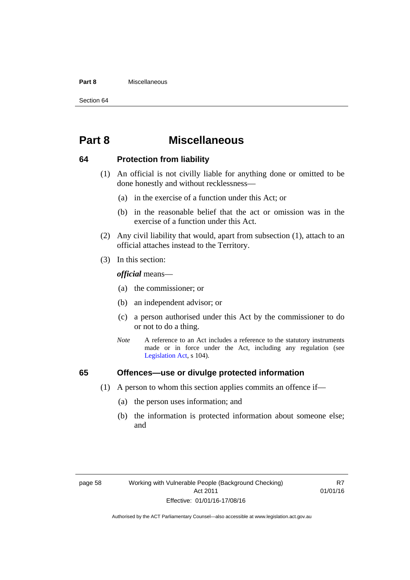#### **Part 8** Miscellaneous

Section 64

# **Part 8 Miscellaneous**

## **64 Protection from liability**

- (1) An official is not civilly liable for anything done or omitted to be done honestly and without recklessness—
	- (a) in the exercise of a function under this Act; or
	- (b) in the reasonable belief that the act or omission was in the exercise of a function under this Act.
- (2) Any civil liability that would, apart from subsection (1), attach to an official attaches instead to the Territory.
- (3) In this section:

*official* means—

- (a) the commissioner; or
- (b) an independent advisor; or
- (c) a person authorised under this Act by the commissioner to do or not to do a thing.
- *Note* A reference to an Act includes a reference to the statutory instruments made or in force under the Act, including any regulation (see [Legislation Act,](http://www.legislation.act.gov.au/a/2001-14) s 104).

# **65 Offences—use or divulge protected information**

- (1) A person to whom this section applies commits an offence if—
	- (a) the person uses information; and
	- (b) the information is protected information about someone else; and

R7 01/01/16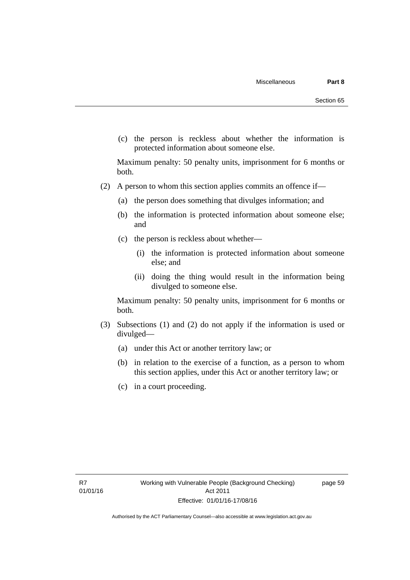(c) the person is reckless about whether the information is protected information about someone else.

Maximum penalty: 50 penalty units, imprisonment for 6 months or both.

- (2) A person to whom this section applies commits an offence if—
	- (a) the person does something that divulges information; and
	- (b) the information is protected information about someone else; and
	- (c) the person is reckless about whether—
		- (i) the information is protected information about someone else; and
		- (ii) doing the thing would result in the information being divulged to someone else.

Maximum penalty: 50 penalty units, imprisonment for 6 months or both.

- (3) Subsections (1) and (2) do not apply if the information is used or divulged—
	- (a) under this Act or another territory law; or
	- (b) in relation to the exercise of a function, as a person to whom this section applies, under this Act or another territory law; or
	- (c) in a court proceeding.

page 59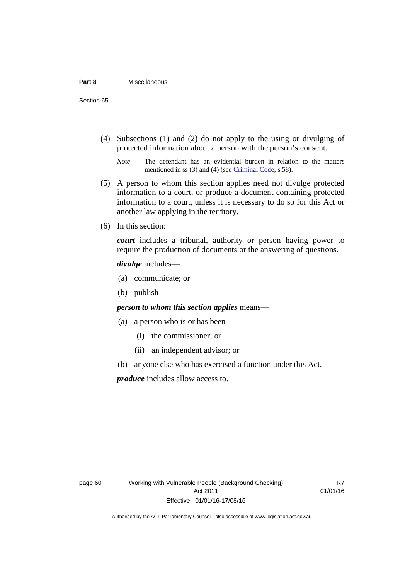(4) Subsections (1) and (2) do not apply to the using or divulging of protected information about a person with the person's consent.

*Note* The defendant has an evidential burden in relation to the matters mentioned in ss (3) and (4) (see [Criminal Code](http://www.legislation.act.gov.au/a/2002-51/default.asp), s 58).

- (5) A person to whom this section applies need not divulge protected information to a court, or produce a document containing protected information to a court, unless it is necessary to do so for this Act or another law applying in the territory.
- (6) In this section:

*court* includes a tribunal, authority or person having power to require the production of documents or the answering of questions.

#### *divulge* includes—

- (a) communicate; or
- (b) publish

## *person to whom this section applies* means—

- (a) a person who is or has been—
	- (i) the commissioner; or
	- (ii) an independent advisor; or
- (b) anyone else who has exercised a function under this Act.

*produce* includes allow access to.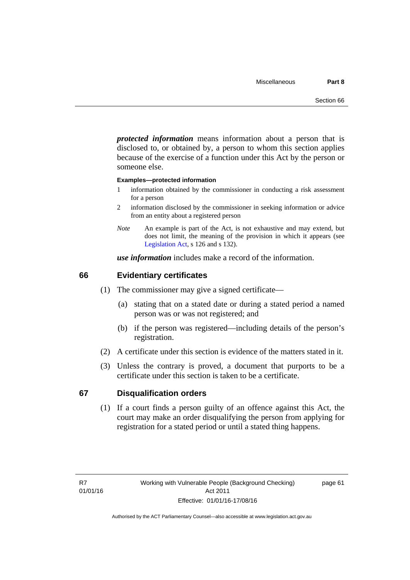*protected information* means information about a person that is disclosed to, or obtained by, a person to whom this section applies because of the exercise of a function under this Act by the person or someone else.

#### **Examples—protected information**

- 1 information obtained by the commissioner in conducting a risk assessment for a person
- 2 information disclosed by the commissioner in seeking information or advice from an entity about a registered person
- *Note* An example is part of the Act, is not exhaustive and may extend, but does not limit, the meaning of the provision in which it appears (see [Legislation Act,](http://www.legislation.act.gov.au/a/2001-14) s 126 and s 132).

*use information* includes make a record of the information.

### **66 Evidentiary certificates**

- (1) The commissioner may give a signed certificate—
	- (a) stating that on a stated date or during a stated period a named person was or was not registered; and
	- (b) if the person was registered—including details of the person's registration.
- (2) A certificate under this section is evidence of the matters stated in it.
- (3) Unless the contrary is proved, a document that purports to be a certificate under this section is taken to be a certificate.

### **67 Disqualification orders**

(1) If a court finds a person guilty of an offence against this Act, the court may make an order disqualifying the person from applying for registration for a stated period or until a stated thing happens.

page 61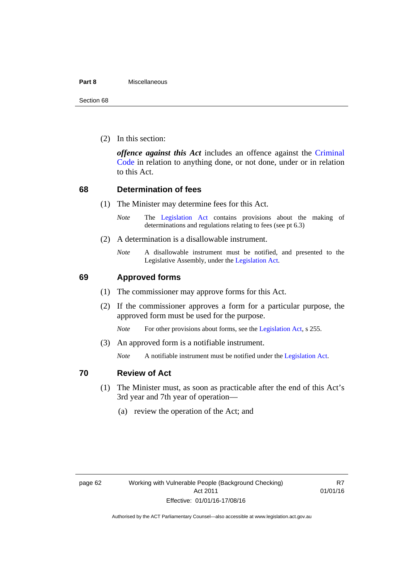#### **Part 8** Miscellaneous

Section 68

(2) In this section:

*offence against this Act* includes an offence against the [Criminal](http://www.legislation.act.gov.au/a/2002-51)  [Code](http://www.legislation.act.gov.au/a/2002-51) in relation to anything done, or not done, under or in relation to this Act.

## **68 Determination of fees**

- (1) The Minister may determine fees for this Act.
	- *Note* The [Legislation Act](http://www.legislation.act.gov.au/a/2001-14) contains provisions about the making of determinations and regulations relating to fees (see pt 6.3)
- (2) A determination is a disallowable instrument.
	- *Note* A disallowable instrument must be notified, and presented to the Legislative Assembly, under the [Legislation Act.](http://www.legislation.act.gov.au/a/2001-14)

# **69 Approved forms**

- (1) The commissioner may approve forms for this Act.
- (2) If the commissioner approves a form for a particular purpose, the approved form must be used for the purpose.

*Note* For other provisions about forms, see the [Legislation Act,](http://www.legislation.act.gov.au/a/2001-14) s 255.

(3) An approved form is a notifiable instrument.

*Note* A notifiable instrument must be notified under the [Legislation Act](http://www.legislation.act.gov.au/a/2001-14).

## **70 Review of Act**

- (1) The Minister must, as soon as practicable after the end of this Act's 3rd year and 7th year of operation—
	- (a) review the operation of the Act; and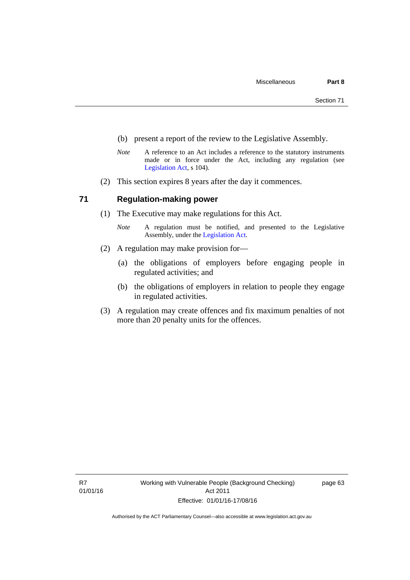- (b) present a report of the review to the Legislative Assembly.
- *Note* A reference to an Act includes a reference to the statutory instruments made or in force under the Act, including any regulation (see [Legislation Act,](http://www.legislation.act.gov.au/a/2001-14) s 104).
- (2) This section expires 8 years after the day it commences.

## **71 Regulation-making power**

- (1) The Executive may make regulations for this Act.
	- *Note* A regulation must be notified, and presented to the Legislative Assembly, under the [Legislation Act](http://www.legislation.act.gov.au/a/2001-14).
- (2) A regulation may make provision for—
	- (a) the obligations of employers before engaging people in regulated activities; and
	- (b) the obligations of employers in relation to people they engage in regulated activities.
- (3) A regulation may create offences and fix maximum penalties of not more than 20 penalty units for the offences.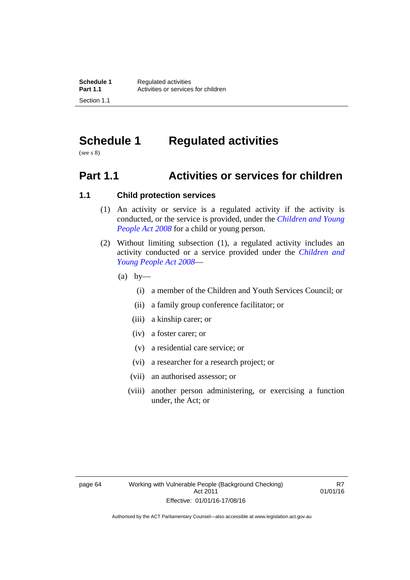# **Schedule 1 Regulated activities**

(see s 8)

# **Part 1.1 Activities or services for children**

# **1.1 Child protection services**

- (1) An activity or service is a regulated activity if the activity is conducted, or the service is provided, under the *[Children and Young](http://www.legislation.act.gov.au/a/2008-19)  [People Act 2008](http://www.legislation.act.gov.au/a/2008-19)* for a child or young person.
- (2) Without limiting subsection (1), a regulated activity includes an activity conducted or a service provided under the *[Children and](http://www.legislation.act.gov.au/a/2008-19)  [Young People Act 2008](http://www.legislation.act.gov.au/a/2008-19)*—
	- $(a)$  by—
		- (i) a member of the Children and Youth Services Council; or
		- (ii) a family group conference facilitator; or
		- (iii) a kinship carer; or
		- (iv) a foster carer; or
		- (v) a residential care service; or
		- (vi) a researcher for a research project; or
		- (vii) an authorised assessor; or
		- (viii) another person administering, or exercising a function under, the Act; or

R7 01/01/16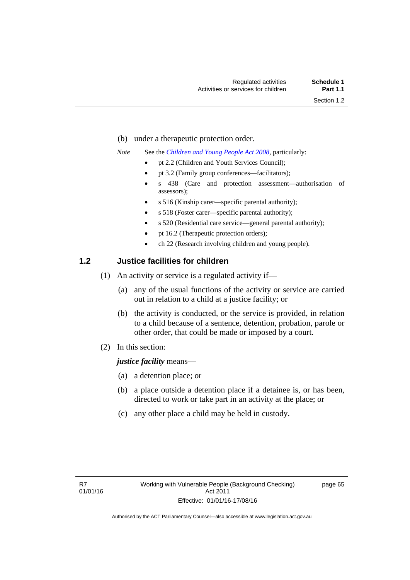- (b) under a therapeutic protection order.
- *Note* See the *[Children and Young People Act 2008](http://www.legislation.act.gov.au/a/2008-19)*, particularly:
	- pt 2.2 (Children and Youth Services Council);
	- pt 3.2 (Family group conferences—facilitators);
	- s 438 (Care and protection assessment—authorisation of assessors);
	- s 516 (Kinship carer—specific parental authority);
	- s 518 (Foster carer—specific parental authority);
	- s 520 (Residential care service—general parental authority);
	- pt 16.2 (Therapeutic protection orders);
	- ch 22 (Research involving children and young people).

### **1.2 Justice facilities for children**

- (1) An activity or service is a regulated activity if—
	- (a) any of the usual functions of the activity or service are carried out in relation to a child at a justice facility; or
	- (b) the activity is conducted, or the service is provided, in relation to a child because of a sentence, detention, probation, parole or other order, that could be made or imposed by a court.
- (2) In this section:

### *justice facility* means—

- (a) a detention place; or
- (b) a place outside a detention place if a detainee is, or has been, directed to work or take part in an activity at the place; or
- (c) any other place a child may be held in custody.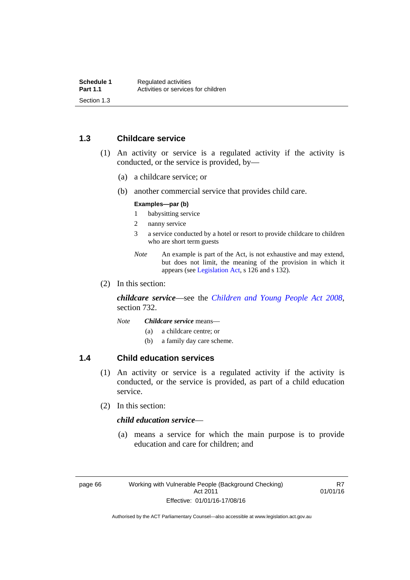### **1.3 Childcare service**

- (1) An activity or service is a regulated activity if the activity is conducted, or the service is provided, by—
	- (a) a childcare service; or
	- (b) another commercial service that provides child care.

#### **Examples—par (b)**

- 1 babysitting service
- 2 nanny service
- 3 a service conducted by a hotel or resort to provide childcare to children who are short term guests
- *Note* An example is part of the Act, is not exhaustive and may extend, but does not limit, the meaning of the provision in which it appears (see [Legislation Act,](http://www.legislation.act.gov.au/a/2001-14) s 126 and s 132).
- (2) In this section:

*childcare service*—see the *[Children and Young People Act 2008](http://www.legislation.act.gov.au/a/2008-19)*, section 732.

- *Note Childcare service* means—
	- (a) a childcare centre; or
	- (b) a family day care scheme.

### **1.4 Child education services**

- (1) An activity or service is a regulated activity if the activity is conducted, or the service is provided, as part of a child education service.
- (2) In this section:

### *child education service*—

 (a) means a service for which the main purpose is to provide education and care for children; and

R7 01/01/16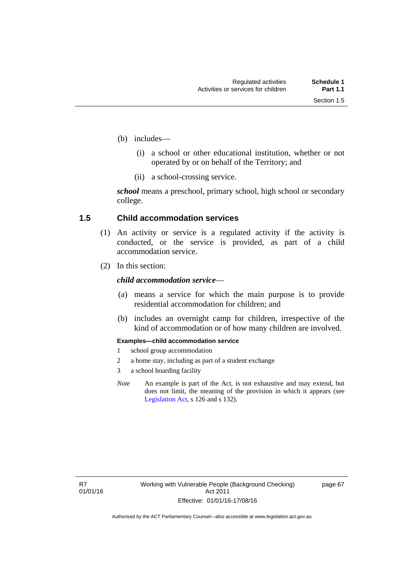- (b) includes—
	- (i) a school or other educational institution, whether or not operated by or on behalf of the Territory; and
	- (ii) a school-crossing service.

*school* means a preschool, primary school, high school or secondary college.

### **1.5 Child accommodation services**

- (1) An activity or service is a regulated activity if the activity is conducted, or the service is provided, as part of a child accommodation service.
- (2) In this section:

### *child accommodation service*—

- (a) means a service for which the main purpose is to provide residential accommodation for children; and
- (b) includes an overnight camp for children, irrespective of the kind of accommodation or of how many children are involved.

#### **Examples—child accommodation service**

- 1 school group accommodation
- 2 a home stay, including as part of a student exchange
- 3 a school boarding facility
- *Note* An example is part of the Act, is not exhaustive and may extend, but does not limit, the meaning of the provision in which it appears (see [Legislation Act,](http://www.legislation.act.gov.au/a/2001-14) s 126 and s 132).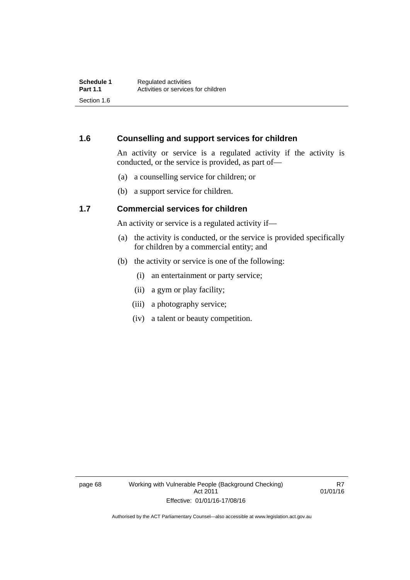### **1.6 Counselling and support services for children**

An activity or service is a regulated activity if the activity is conducted, or the service is provided, as part of—

- (a) a counselling service for children; or
- (b) a support service for children.

### **1.7 Commercial services for children**

An activity or service is a regulated activity if—

- (a) the activity is conducted, or the service is provided specifically for children by a commercial entity; and
- (b) the activity or service is one of the following:
	- (i) an entertainment or party service;
	- (ii) a gym or play facility;
	- (iii) a photography service;
	- (iv) a talent or beauty competition.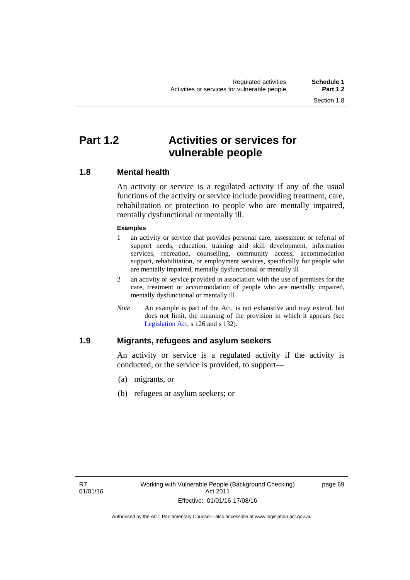# **Part 1.2 Activities or services for vulnerable people**

### **1.8 Mental health**

An activity or service is a regulated activity if any of the usual functions of the activity or service include providing treatment, care, rehabilitation or protection to people who are mentally impaired, mentally dysfunctional or mentally ill.

### **Examples**

- 1 an activity or service that provides personal care, assessment or referral of support needs, education, training and skill development, information services, recreation, counselling, community access, accommodation support, rehabilitation, or employment services, specifically for people who are mentally impaired, mentally dysfunctional or mentally ill
- 2 an activity or service provided in association with the use of premises for the care, treatment or accommodation of people who are mentally impaired, mentally dysfunctional or mentally ill
- *Note* An example is part of the Act, is not exhaustive and may extend, but does not limit, the meaning of the provision in which it appears (see [Legislation Act,](http://www.legislation.act.gov.au/a/2001-14) s 126 and s 132).

### **1.9 Migrants, refugees and asylum seekers**

An activity or service is a regulated activity if the activity is conducted, or the service is provided, to support—

- (a) migrants, or
- (b) refugees or asylum seekers; or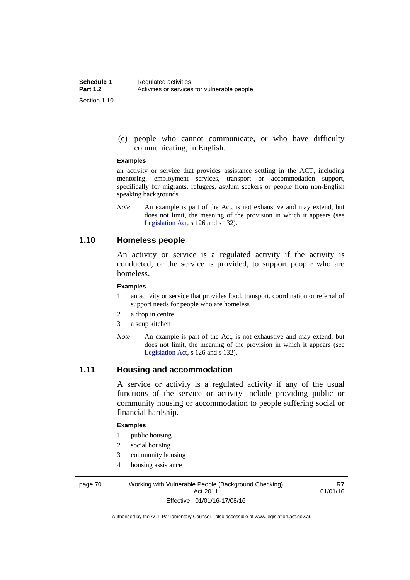(c) people who cannot communicate, or who have difficulty communicating, in English.

#### **Examples**

an activity or service that provides assistance settling in the ACT, including mentoring, employment services, transport or accommodation support, specifically for migrants, refugees, asylum seekers or people from non-English speaking backgrounds

*Note* An example is part of the Act, is not exhaustive and may extend, but does not limit, the meaning of the provision in which it appears (see [Legislation Act,](http://www.legislation.act.gov.au/a/2001-14) s 126 and s 132).

### **1.10 Homeless people**

An activity or service is a regulated activity if the activity is conducted, or the service is provided, to support people who are homeless.

#### **Examples**

- 1 an activity or service that provides food, transport, coordination or referral of support needs for people who are homeless
- 2 a drop in centre
- 3 a soup kitchen
- *Note* An example is part of the Act, is not exhaustive and may extend, but does not limit, the meaning of the provision in which it appears (see [Legislation Act,](http://www.legislation.act.gov.au/a/2001-14) s 126 and s 132).

### **1.11 Housing and accommodation**

A service or activity is a regulated activity if any of the usual functions of the service or activity include providing public or community housing or accommodation to people suffering social or financial hardship.

#### **Examples**

- 1 public housing
- 2 social housing
- 3 community housing
- 4 housing assistance

page 70 Working with Vulnerable People (Background Checking) Act 2011 Effective: 01/01/16-17/08/16

R7 01/01/16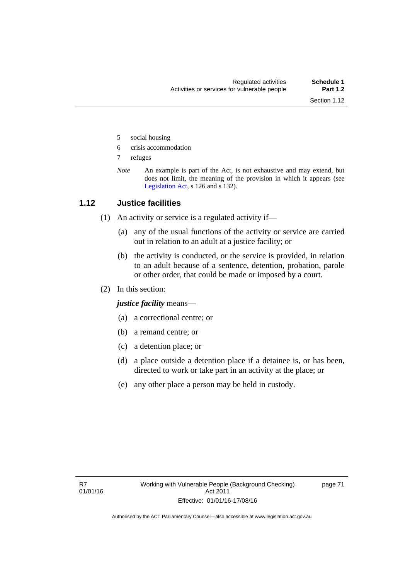- 5 social housing
- 6 crisis accommodation
- 7 refuges
- *Note* An example is part of the Act, is not exhaustive and may extend, but does not limit, the meaning of the provision in which it appears (see [Legislation Act,](http://www.legislation.act.gov.au/a/2001-14) s 126 and s 132).

### **1.12 Justice facilities**

- (1) An activity or service is a regulated activity if—
	- (a) any of the usual functions of the activity or service are carried out in relation to an adult at a justice facility; or
	- (b) the activity is conducted, or the service is provided, in relation to an adult because of a sentence, detention, probation, parole or other order, that could be made or imposed by a court.
- (2) In this section:

*justice facility* means—

- (a) a correctional centre; or
- (b) a remand centre; or
- (c) a detention place; or
- (d) a place outside a detention place if a detainee is, or has been, directed to work or take part in an activity at the place; or
- (e) any other place a person may be held in custody.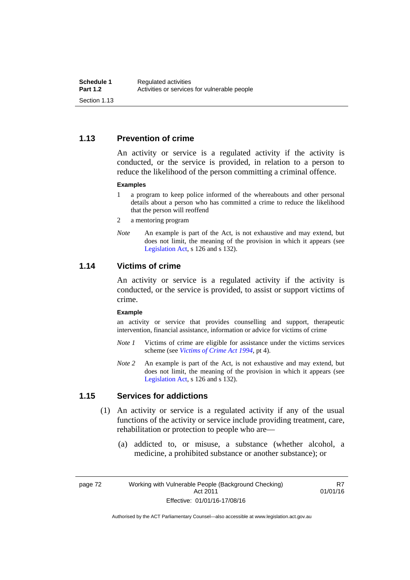### **1.13 Prevention of crime**

An activity or service is a regulated activity if the activity is conducted, or the service is provided, in relation to a person to reduce the likelihood of the person committing a criminal offence.

#### **Examples**

- 1 a program to keep police informed of the whereabouts and other personal details about a person who has committed a crime to reduce the likelihood that the person will reoffend
- 2 a mentoring program
- *Note* An example is part of the Act, is not exhaustive and may extend, but does not limit, the meaning of the provision in which it appears (see [Legislation Act,](http://www.legislation.act.gov.au/a/2001-14) s 126 and s 132).

### **1.14 Victims of crime**

An activity or service is a regulated activity if the activity is conducted, or the service is provided, to assist or support victims of crime.

#### **Example**

an activity or service that provides counselling and support, therapeutic intervention, financial assistance, information or advice for victims of crime

- *Note 1* Victims of crime are eligible for assistance under the victims services scheme (see *[Victims of Crime Act 1994](http://www.legislation.act.gov.au/a/1994-83)*, pt 4).
- *Note 2* An example is part of the Act, is not exhaustive and may extend, but does not limit, the meaning of the provision in which it appears (see [Legislation Act,](http://www.legislation.act.gov.au/a/2001-14) s 126 and s 132).

### **1.15 Services for addictions**

- (1) An activity or service is a regulated activity if any of the usual functions of the activity or service include providing treatment, care, rehabilitation or protection to people who are—
	- (a) addicted to, or misuse, a substance (whether alcohol, a medicine, a prohibited substance or another substance); or

page 72 Working with Vulnerable People (Background Checking) Act 2011 Effective: 01/01/16-17/08/16

R7 01/01/16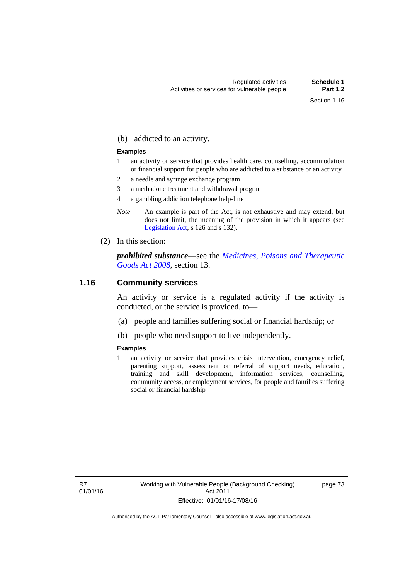(b) addicted to an activity.

#### **Examples**

- 1 an activity or service that provides health care, counselling, accommodation or financial support for people who are addicted to a substance or an activity
- 2 a needle and syringe exchange program
- 3 a methadone treatment and withdrawal program
- 4 a gambling addiction telephone help-line
- *Note* An example is part of the Act, is not exhaustive and may extend, but does not limit, the meaning of the provision in which it appears (see [Legislation Act,](http://www.legislation.act.gov.au/a/2001-14) s 126 and s 132).
- (2) In this section:

*prohibited substance*—see the *[Medicines, Poisons and Therapeutic](http://www.legislation.act.gov.au/a/2008-26)  [Goods Act 2008](http://www.legislation.act.gov.au/a/2008-26)*, section 13.

### **1.16 Community services**

An activity or service is a regulated activity if the activity is conducted, or the service is provided, to—

- (a) people and families suffering social or financial hardship; or
- (b) people who need support to live independently.

### **Examples**

1 an activity or service that provides crisis intervention, emergency relief, parenting support, assessment or referral of support needs, education, training and skill development, information services, counselling, community access, or employment services, for people and families suffering social or financial hardship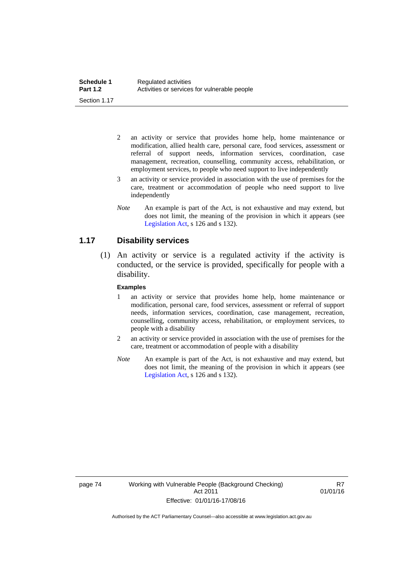- 2 an activity or service that provides home help, home maintenance or modification, allied health care, personal care, food services, assessment or referral of support needs, information services, coordination, case management, recreation, counselling, community access, rehabilitation, or employment services, to people who need support to live independently
- 3 an activity or service provided in association with the use of premises for the care, treatment or accommodation of people who need support to live independently
- *Note* An example is part of the Act, is not exhaustive and may extend, but does not limit, the meaning of the provision in which it appears (see [Legislation Act,](http://www.legislation.act.gov.au/a/2001-14) s 126 and s 132).

### **1.17 Disability services**

 (1) An activity or service is a regulated activity if the activity is conducted, or the service is provided, specifically for people with a disability.

#### **Examples**

- 1 an activity or service that provides home help, home maintenance or modification, personal care, food services, assessment or referral of support needs, information services, coordination, case management, recreation, counselling, community access, rehabilitation, or employment services, to people with a disability
- 2 an activity or service provided in association with the use of premises for the care, treatment or accommodation of people with a disability
- *Note* An example is part of the Act, is not exhaustive and may extend, but does not limit, the meaning of the provision in which it appears (see [Legislation Act,](http://www.legislation.act.gov.au/a/2001-14) s 126 and s 132).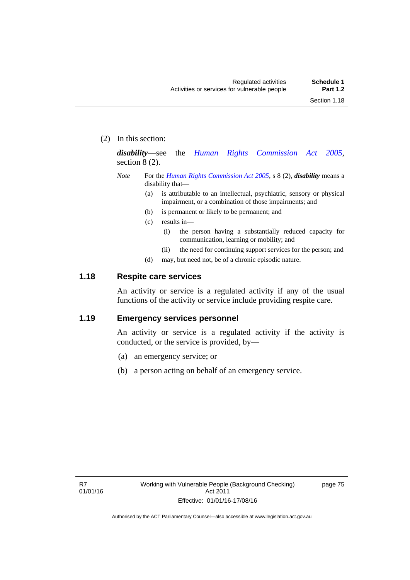(2) In this section:

*disability*—see the *[Human Rights Commission Act 2005](http://www.legislation.act.gov.au/a/2005-40)*, section 8 (2).

- *Note* For the *[Human Rights Commission Act 2005](http://www.legislation.act.gov.au/a/2005-40)*, s 8 (2), *disability* means a disability that—
	- (a) is attributable to an intellectual, psychiatric, sensory or physical impairment, or a combination of those impairments; and
	- (b) is permanent or likely to be permanent; and
	- (c) results in—
		- (i) the person having a substantially reduced capacity for communication, learning or mobility; and
		- (ii) the need for continuing support services for the person; and
	- (d) may, but need not, be of a chronic episodic nature.

### **1.18 Respite care services**

An activity or service is a regulated activity if any of the usual functions of the activity or service include providing respite care.

### **1.19 Emergency services personnel**

An activity or service is a regulated activity if the activity is conducted, or the service is provided, by—

- (a) an emergency service; or
- (b) a person acting on behalf of an emergency service.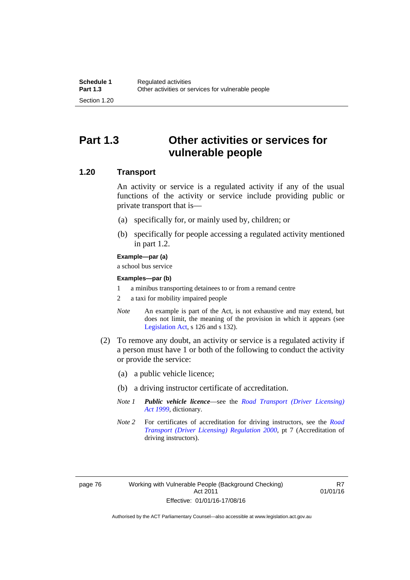# **Part 1.3 Other activities or services for vulnerable people**

### **1.20 Transport**

An activity or service is a regulated activity if any of the usual functions of the activity or service include providing public or private transport that is—

- (a) specifically for, or mainly used by, children; or
- (b) specifically for people accessing a regulated activity mentioned in part 1.2.

#### **Example—par (a)**

a school bus service

#### **Examples—par (b)**

- 1 a minibus transporting detainees to or from a remand centre
- 2 a taxi for mobility impaired people
- *Note* An example is part of the Act, is not exhaustive and may extend, but does not limit, the meaning of the provision in which it appears (see [Legislation Act,](http://www.legislation.act.gov.au/a/2001-14) s 126 and s 132).
- (2) To remove any doubt, an activity or service is a regulated activity if a person must have 1 or both of the following to conduct the activity or provide the service:
	- (a) a public vehicle licence;
	- (b) a driving instructor certificate of accreditation.
	- *Note 1 Public vehicle licence*—see the *[Road Transport \(Driver Licensing\)](http://www.legislation.act.gov.au/a/1999-78)  [Act 1999](http://www.legislation.act.gov.au/a/1999-78)*, dictionary.
	- *Note 2* For certificates of accreditation for driving instructors, see the *[Road](http://www.legislation.act.gov.au/sl/2000-14)  [Transport \(Driver Licensing\) Regulation 2000](http://www.legislation.act.gov.au/sl/2000-14)*, pt 7 (Accreditation of driving instructors).

R7 01/01/16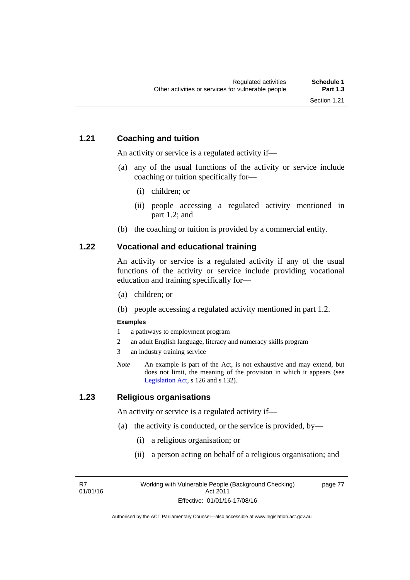### **1.21 Coaching and tuition**

An activity or service is a regulated activity if—

- (a) any of the usual functions of the activity or service include coaching or tuition specifically for—
	- (i) children; or
	- (ii) people accessing a regulated activity mentioned in part 1.2; and
- (b) the coaching or tuition is provided by a commercial entity.

### **1.22 Vocational and educational training**

An activity or service is a regulated activity if any of the usual functions of the activity or service include providing vocational education and training specifically for—

- (a) children; or
- (b) people accessing a regulated activity mentioned in part 1.2.

### **Examples**

- 1 a pathways to employment program
- 2 an adult English language, literacy and numeracy skills program
- 3 an industry training service
- *Note* An example is part of the Act, is not exhaustive and may extend, but does not limit, the meaning of the provision in which it appears (see [Legislation Act,](http://www.legislation.act.gov.au/a/2001-14) s 126 and s 132).

### **1.23 Religious organisations**

An activity or service is a regulated activity if—

- (a) the activity is conducted, or the service is provided, by—
	- (i) a religious organisation; or
	- (ii) a person acting on behalf of a religious organisation; and

R7 01/01/16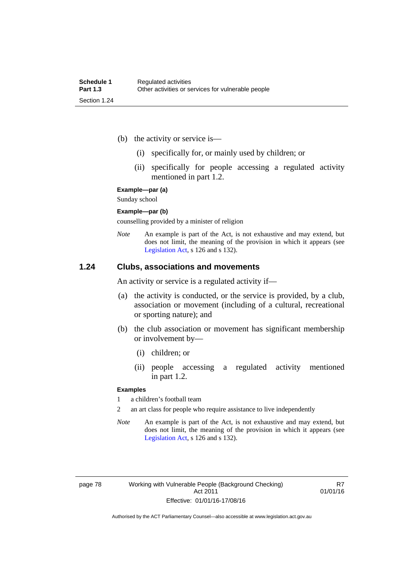- (b) the activity or service is—
	- (i) specifically for, or mainly used by children; or
	- (ii) specifically for people accessing a regulated activity mentioned in part 1.2.

**Example—par (a)** 

Sunday school

#### **Example—par (b)**

counselling provided by a minister of religion

*Note* An example is part of the Act, is not exhaustive and may extend, but does not limit, the meaning of the provision in which it appears (see [Legislation Act,](http://www.legislation.act.gov.au/a/2001-14) s 126 and s 132).

### **1.24 Clubs, associations and movements**

An activity or service is a regulated activity if—

- (a) the activity is conducted, or the service is provided, by a club, association or movement (including of a cultural, recreational or sporting nature); and
- (b) the club association or movement has significant membership or involvement by—
	- (i) children; or
	- (ii) people accessing a regulated activity mentioned in part 1.2.

#### **Examples**

1 a children's football team

2 an art class for people who require assistance to live independently

*Note* An example is part of the Act, is not exhaustive and may extend, but does not limit, the meaning of the provision in which it appears (see [Legislation Act,](http://www.legislation.act.gov.au/a/2001-14) s 126 and s 132).

R7 01/01/16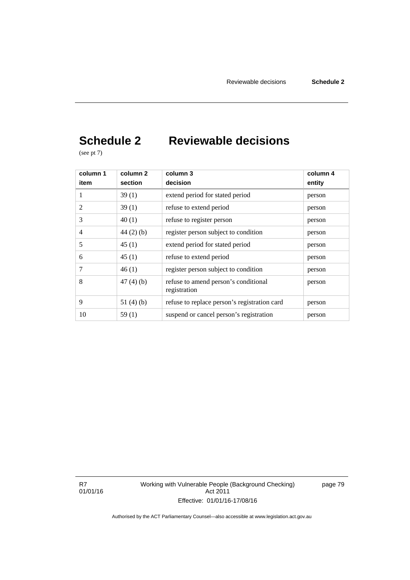# **Schedule 2 Reviewable decisions**

(see pt 7)

| column 1<br>item | column <sub>2</sub><br>section | column 3<br>decision                                 | column 4<br>entity |
|------------------|--------------------------------|------------------------------------------------------|--------------------|
|                  | 39(1)                          | extend period for stated period                      | person             |
| 2                | 39(1)                          | refuse to extend period                              | person             |
| 3                | 40(1)                          | refuse to register person                            | person             |
| 4                | $44(2)$ (b)                    | register person subject to condition                 | person             |
| 5                | 45(1)                          | extend period for stated period                      | person             |
| 6                | 45(1)                          | refuse to extend period                              | person             |
| 7                | 46(1)                          | register person subject to condition                 | person             |
| 8                | 47(4)(b)                       | refuse to amend person's conditional<br>registration | person             |
| 9                | 51 $(4)(b)$                    | refuse to replace person's registration card         | person             |
| 10               | 59(1)                          | suspend or cancel person's registration              | person             |

R7 01/01/16 Working with Vulnerable People (Background Checking) Act 2011 Effective: 01/01/16-17/08/16

page 79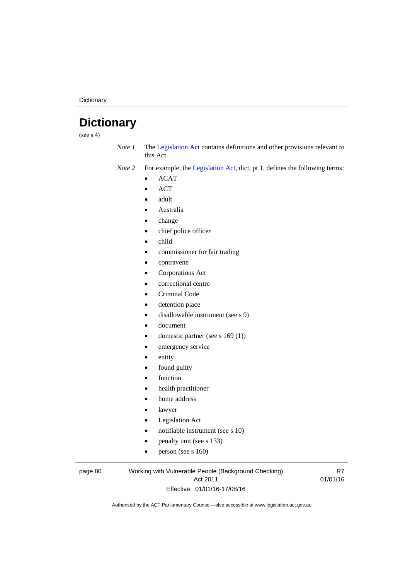**Dictionary** 

# **Dictionary**

(see  $s$  4)

*Note 1* The [Legislation Act](http://www.legislation.act.gov.au/a/2001-14) contains definitions and other provisions relevant to this Act.

*Note 2* For example, the [Legislation Act,](http://www.legislation.act.gov.au/a/2001-14) dict, pt 1, defines the following terms:

- $\bullet$  ACAT
- ACT
- adult
- Australia
- change
- chief police officer
- child
- commissioner for fair trading
- contravene
- Corporations Act
- correctional centre
- Criminal Code
- detention place
- disallowable instrument (see s 9)
- document
- domestic partner (see s 169 (1))
- emergency service
- entity
- found guilty
- function
- health practitioner
- home address
- lawyer
- Legislation Act
- notifiable instrument (see s 10)
- penalty unit (see s 133)
- $\bullet$  person (see s 160)

#### page 80 Working with Vulnerable People (Background Checking) Act 2011 Effective: 01/01/16-17/08/16

R7 01/01/16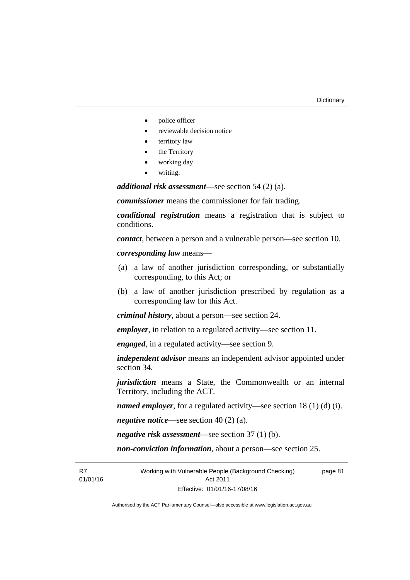- police officer
- reviewable decision notice
- territory law
- the Territory
- working day
- writing.

*additional risk assessment*—see section 54 (2) (a).

*commissioner* means the commissioner for fair trading.

*conditional registration* means a registration that is subject to conditions.

*contact*, between a person and a vulnerable person—see section 10.

*corresponding law* means—

- (a) a law of another jurisdiction corresponding, or substantially corresponding, to this Act; or
- (b) a law of another jurisdiction prescribed by regulation as a corresponding law for this Act.

*criminal history*, about a person—see section 24.

*employer*, in relation to a regulated activity—see section 11.

*engaged*, in a regulated activity—see section 9.

*independent advisor* means an independent advisor appointed under section 34.

*jurisdiction* means a State, the Commonwealth or an internal Territory, including the ACT.

*named employer*, for a regulated activity—see section 18 (1) (d) (i).

*negative notice*—see section 40 (2) (a).

*negative risk assessment*—see section 37 (1) (b).

*non-conviction information*, about a person—see section 25.

R7 01/01/16 Working with Vulnerable People (Background Checking) Act 2011 Effective: 01/01/16-17/08/16 page 81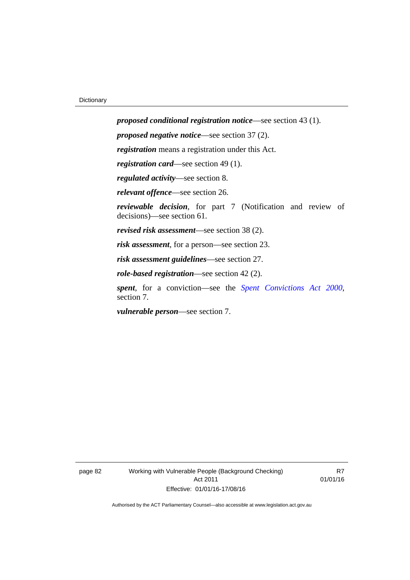*proposed conditional registration notice*—see section 43 (1). *proposed negative notice*—see section 37 (2). *registration* means a registration under this Act. *registration card*—see section 49 (1). *regulated activity*—see section 8. *relevant offence*—see section 26. *reviewable decision*, for part 7 (Notification and review of decisions)—see section 61. *revised risk assessment*—see section 38 (2). *risk assessment*, for a person—see section 23. *risk assessment guidelines*—see section 27. *role-based registration*—see section 42 (2). *spent*, for a conviction—see the *[Spent Convictions Act 2000](http://www.legislation.act.gov.au/a/2000-48)*, section 7.

*vulnerable person*—see section 7.

page 82 Working with Vulnerable People (Background Checking) Act 2011 Effective: 01/01/16-17/08/16

R7 01/01/16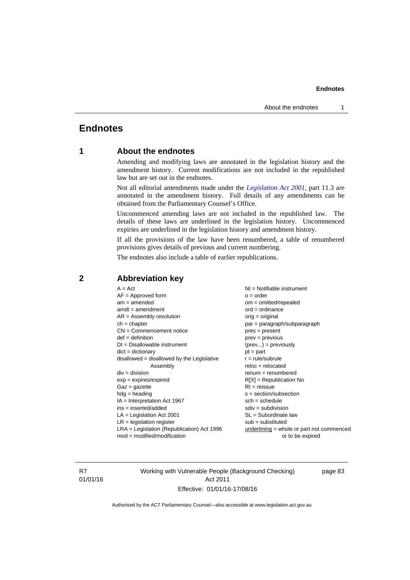## **Endnotes**

### **1 About the endnotes**

Amending and modifying laws are annotated in the legislation history and the amendment history. Current modifications are not included in the republished law but are set out in the endnotes.

Not all editorial amendments made under the *[Legislation Act 2001](http://www.legislation.act.gov.au/a/2001-14)*, part 11.3 are annotated in the amendment history. Full details of any amendments can be obtained from the Parliamentary Counsel's Office.

Uncommenced amending laws are not included in the republished law. The details of these laws are underlined in the legislation history. Uncommenced expiries are underlined in the legislation history and amendment history.

If all the provisions of the law have been renumbered, a table of renumbered provisions gives details of previous and current numbering.

The endnotes also include a table of earlier republications.

| $A = Act$<br>$AF =$ Approved form<br>$am = amended$<br>$amdt = amendment$<br>$AR = Assembly resolution$<br>$ch = chapter$<br>$CN =$ Commencement notice<br>$def = definition$<br>$DI = Disallowable instrument$<br>$dict = dictionary$<br>disallowed = disallowed by the Legislative<br>Assembly<br>$div = division$<br>$exp = expires/expired$<br>$Gaz = gazette$<br>$hdg = heading$<br>$IA = Interpretation Act 1967$<br>$ins = inserted/added$<br>$LA =$ Legislation Act 2001<br>$LR =$ legislation register | NI = Notifiable instrument<br>$o = order$<br>$om = omitted/repealed$<br>$ord = ordinance$<br>$orig = original$<br>par = paragraph/subparagraph<br>$pres = present$<br>$prev = previous$<br>$(\text{prev}) = \text{previously}$<br>$pt = part$<br>$r = rule/subrule$<br>$reloc = relocated$<br>$remum = renumbered$<br>$R[X]$ = Republication No<br>$RI = reissue$<br>$s = section/subsection$<br>$sch = schedule$<br>$sdiv = subdivision$<br>$SL = Subordinate$ law<br>$sub =$ substituted |
|-----------------------------------------------------------------------------------------------------------------------------------------------------------------------------------------------------------------------------------------------------------------------------------------------------------------------------------------------------------------------------------------------------------------------------------------------------------------------------------------------------------------|--------------------------------------------------------------------------------------------------------------------------------------------------------------------------------------------------------------------------------------------------------------------------------------------------------------------------------------------------------------------------------------------------------------------------------------------------------------------------------------------|
|                                                                                                                                                                                                                                                                                                                                                                                                                                                                                                                 |                                                                                                                                                                                                                                                                                                                                                                                                                                                                                            |
| $LRA =$ Legislation (Republication) Act 1996<br>$mod = modified/modification$                                                                                                                                                                                                                                                                                                                                                                                                                                   | $underlining = whole or part not commenced$<br>or to be expired                                                                                                                                                                                                                                                                                                                                                                                                                            |
|                                                                                                                                                                                                                                                                                                                                                                                                                                                                                                                 |                                                                                                                                                                                                                                                                                                                                                                                                                                                                                            |

### **2 Abbreviation key**

R7 01/01/16 Working with Vulnerable People (Background Checking) Act 2011 Effective: 01/01/16-17/08/16

page 83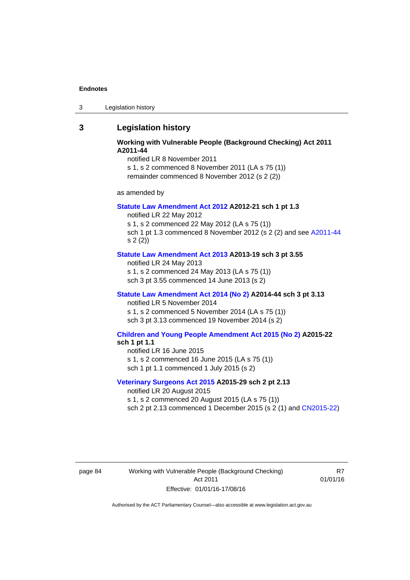3 Legislation history

### **3 Legislation history**

#### **Working with Vulnerable People (Background Checking) Act 2011 A2011-44**

notified LR 8 November 2011

s 1, s 2 commenced 8 November 2011 (LA s 75 (1)) remainder commenced 8 November 2012 (s 2 (2))

as amended by

#### **[Statute Law Amendment Act 2012](http://www.legislation.act.gov.au/a/2012-21) A2012-21 sch 1 pt 1.3**

notified LR 22 May 2012

s 1, s 2 commenced 22 May 2012 (LA s 75 (1))

sch 1 pt 1.3 commenced 8 November 2012 (s 2 (2) and see [A2011-44](http://www.legislation.act.gov.au/a/2011-44) s 2 (2))

### **[Statute Law Amendment Act 2013](http://www.legislation.act.gov.au/a/2013-19) A2013-19 sch 3 pt 3.55**

notified LR 24 May 2013 s 1, s 2 commenced 24 May 2013 (LA s 75 (1)) sch 3 pt 3.55 commenced 14 June 2013 (s 2)

#### **[Statute Law Amendment Act 2014 \(No 2\)](http://www.legislation.act.gov.au/a/2014-44) A2014-44 sch 3 pt 3.13**

notified LR 5 November 2014 s 1, s 2 commenced 5 November 2014 (LA s 75 (1)) sch 3 pt 3.13 commenced 19 November 2014 (s 2)

#### **[Children and Young People Amendment Act 2015 \(No 2\)](http://www.legislation.act.gov.au/a/2015-22/default.asp) A2015-22 sch 1 pt 1.1**

notified LR 16 June 2015

s 1, s 2 commenced 16 June 2015 (LA s 75 (1))

sch 1 pt 1.1 commenced 1 July 2015 (s 2)

#### **[Veterinary Surgeons Act 2015](http://www.legislation.act.gov.au/a/2015-29/default.asp) A2015-29 sch 2 pt 2.13**

notified LR 20 August 2015 s 1, s 2 commenced 20 August 2015 (LA s 75 (1)) sch 2 pt 2.13 commenced 1 December 2015 (s 2 (1) and [CN2015-22\)](http://www.legislation.act.gov.au/cn/2015-22/default.asp)

page 84 Working with Vulnerable People (Background Checking) Act 2011 Effective: 01/01/16-17/08/16

R7 01/01/16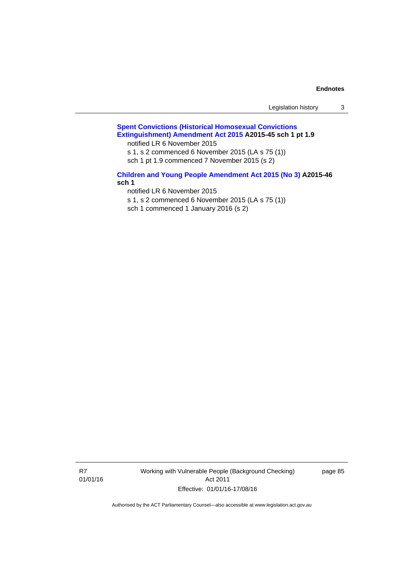| Legislation history |  |
|---------------------|--|
|---------------------|--|

### **[Spent Convictions \(Historical Homosexual Convictions](http://www.legislation.act.gov.au/a/2015-45)  [Extinguishment\) Amendment Act 2015](http://www.legislation.act.gov.au/a/2015-45) A2015-45 sch 1 pt 1.9**

notified LR 6 November 2015

s 1, s 2 commenced 6 November 2015 (LA s 75 (1))

sch 1 pt 1.9 commenced 7 November 2015 (s 2)

### **[Children and Young People Amendment Act 2015 \(No 3\)](http://www.legislation.act.gov.au/a/2015-46/default.asp) A2015-46 sch 1**

notified LR 6 November 2015

s 1, s 2 commenced 6 November 2015 (LA s 75 (1))

sch 1 commenced 1 January 2016 (s 2)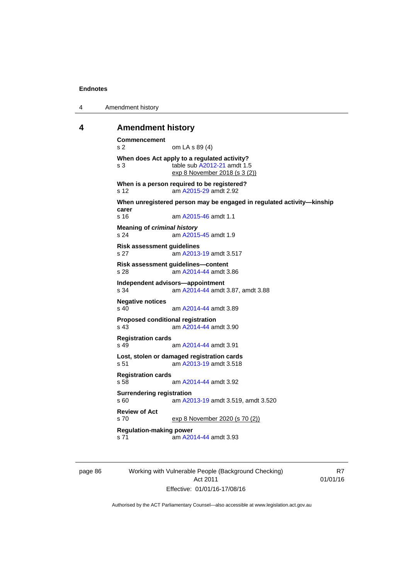4 Amendment history

#### **4 Amendment history**

```
Commencement 
s 2 om LA s 89 (4) 
When does Act apply to a regulated activity? 
s 3 table sub A2012-21 amdt 1.5 
               exp 8 November 2018 (s 3 (2))
When is a person required to be registered? 
s 12 am A2015-29 amdt 2.92
When unregistered person may be engaged in regulated activity—kinship 
carer 
s 16 am A2015-46 amdt 1.1
Meaning of criminal history
A2015-45 amdt 1.9
Risk assessment guidelines 
s 27 am A2013-19 amdt 3.517
Risk assessment guidelines—content 
s 28 am A2014-44 amdt 3.86
Independent advisors—appointment<br>s 34 am A2014-44 amdt
                A2014-44 amdt 3.87, amdt 3.88
Negative notices 
s 40 am A2014-44 amdt 3.89
Proposed conditional registration 
s 43 am A2014-44 amdt 3.90
Registration cards 
s 49  A2014-44 amdt 3.91
Lost, stolen or damaged registration cards 
s 51 am A2013-19 amdt 3.518
Registration cards 
s 58 am A2014-44 amdt 3.92
Surrendering registration 
s 60 am A2013-19 amdt 3.519, amdt 3.520 
Review of Act 
s 70 exp 8 November 2020 (s 70 (2))
Regulation-making power 
s 71 A2014-44 amdt 3.93
```
page 86 Working with Vulnerable People (Background Checking) Act 2011 Effective: 01/01/16-17/08/16

R7 01/01/16